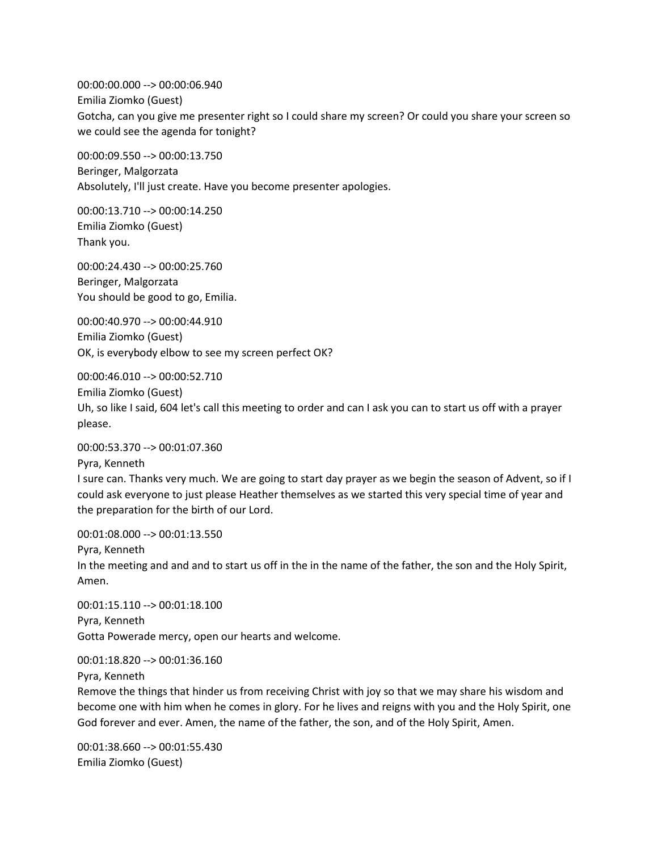00:00:00.000 --> 00:00:06.940 Emilia Ziomko (Guest) Gotcha, can you give me presenter right so I could share my screen? Or could you share your screen so we could see the agenda for tonight?

00:00:09.550 --> 00:00:13.750 Beringer, Malgorzata Absolutely, I'll just create. Have you become presenter apologies.

00:00:13.710 --> 00:00:14.250 Emilia Ziomko (Guest) Thank you.

00:00:24.430 --> 00:00:25.760 Beringer, Malgorzata You should be good to go, Emilia.

00:00:40.970 --> 00:00:44.910 Emilia Ziomko (Guest) OK, is everybody elbow to see my screen perfect OK?

00:00:46.010 --> 00:00:52.710

Emilia Ziomko (Guest)

Uh, so like I said, 604 let's call this meeting to order and can I ask you can to start us off with a prayer please.

00:00:53.370 --> 00:01:07.360

Pyra, Kenneth I sure can. Thanks very much. We are going to start day prayer as we begin the season of Advent, so if I could ask everyone to just please Heather themselves as we started this very special time of year and the preparation for the birth of our Lord.

00:01:08.000 --> 00:01:13.550

Pyra, Kenneth

In the meeting and and and to start us off in the in the name of the father, the son and the Holy Spirit, Amen.

00:01:15.110 --> 00:01:18.100 Pyra, Kenneth Gotta Powerade mercy, open our hearts and welcome.

00:01:18.820 --> 00:01:36.160

Pyra, Kenneth

Remove the things that hinder us from receiving Christ with joy so that we may share his wisdom and become one with him when he comes in glory. For he lives and reigns with you and the Holy Spirit, one God forever and ever. Amen, the name of the father, the son, and of the Holy Spirit, Amen.

00:01:38.660 --> 00:01:55.430 Emilia Ziomko (Guest)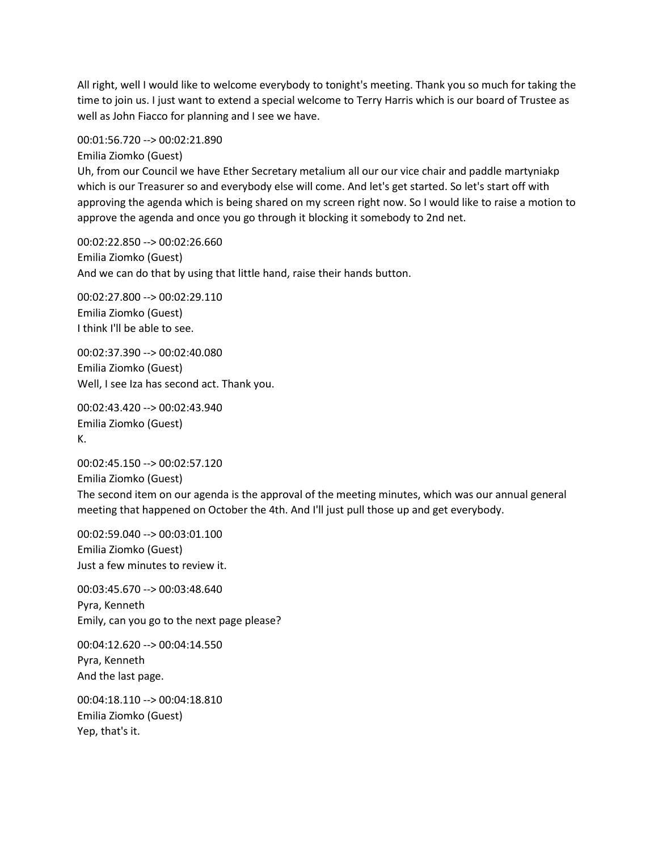All right, well I would like to welcome everybody to tonight's meeting. Thank you so much for taking the time to join us. I just want to extend a special welcome to Terry Harris which is our board of Trustee as well as John Fiacco for planning and I see we have.

00:01:56.720 --> 00:02:21.890 Emilia Ziomko (Guest) Uh, from our Council we have Ether Secretary metalium all our our vice chair and paddle martyniakp which is our Treasurer so and everybody else will come. And let's get started. So let's start off with approving the agenda which is being shared on my screen right now. So I would like to raise a motion to approve the agenda and once you go through it blocking it somebody to 2nd net.

00:02:22.850 --> 00:02:26.660 Emilia Ziomko (Guest) And we can do that by using that little hand, raise their hands button.

00:02:27.800 --> 00:02:29.110 Emilia Ziomko (Guest) I think I'll be able to see.

00:02:37.390 --> 00:02:40.080 Emilia Ziomko (Guest) Well, I see Iza has second act. Thank you.

00:02:43.420 --> 00:02:43.940 Emilia Ziomko (Guest) K.

00:02:45.150 --> 00:02:57.120 Emilia Ziomko (Guest) The second item on our agenda is the approval of the meeting minutes, which was our annual general meeting that happened on October the 4th. And I'll just pull those up and get everybody.

00:02:59.040 --> 00:03:01.100 Emilia Ziomko (Guest) Just a few minutes to review it.

00:03:45.670 --> 00:03:48.640 Pyra, Kenneth Emily, can you go to the next page please?

00:04:12.620 --> 00:04:14.550 Pyra, Kenneth And the last page.

00:04:18.110 --> 00:04:18.810 Emilia Ziomko (Guest) Yep, that's it.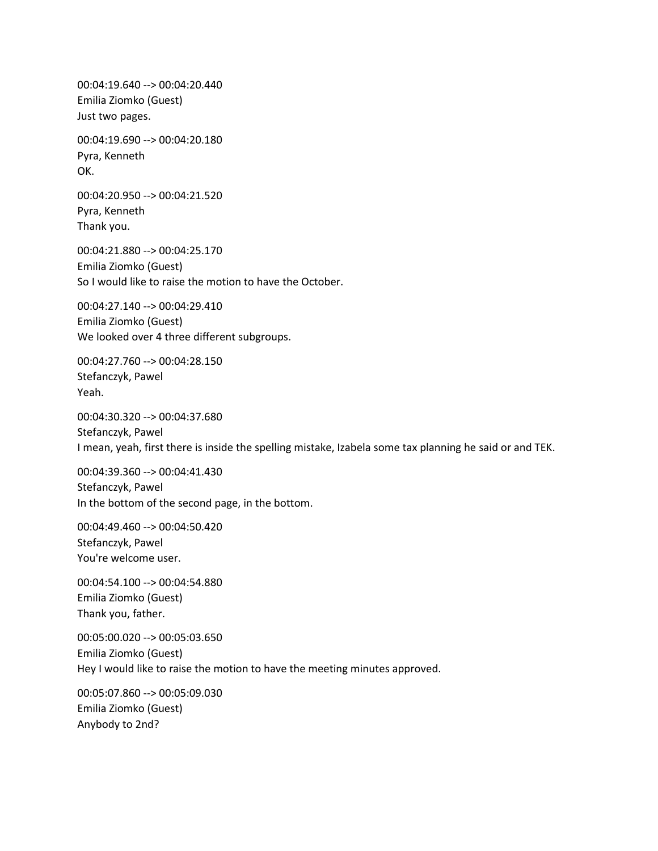00:04:19.640 --> 00:04:20.440 Emilia Ziomko (Guest) Just two pages.

00:04:19.690 --> 00:04:20.180 Pyra, Kenneth OK.

00:04:20.950 --> 00:04:21.520 Pyra, Kenneth Thank you.

00:04:21.880 --> 00:04:25.170 Emilia Ziomko (Guest) So I would like to raise the motion to have the October.

00:04:27.140 --> 00:04:29.410 Emilia Ziomko (Guest) We looked over 4 three different subgroups.

00:04:27.760 --> 00:04:28.150 Stefanczyk, Pawel Yeah.

00:04:30.320 --> 00:04:37.680 Stefanczyk, Pawel I mean, yeah, first there is inside the spelling mistake, Izabela some tax planning he said or and TEK.

00:04:39.360 --> 00:04:41.430 Stefanczyk, Pawel In the bottom of the second page, in the bottom.

00:04:49.460 --> 00:04:50.420 Stefanczyk, Pawel You're welcome user.

00:04:54.100 --> 00:04:54.880 Emilia Ziomko (Guest) Thank you, father.

00:05:00.020 --> 00:05:03.650 Emilia Ziomko (Guest) Hey I would like to raise the motion to have the meeting minutes approved.

00:05:07.860 --> 00:05:09.030 Emilia Ziomko (Guest) Anybody to 2nd?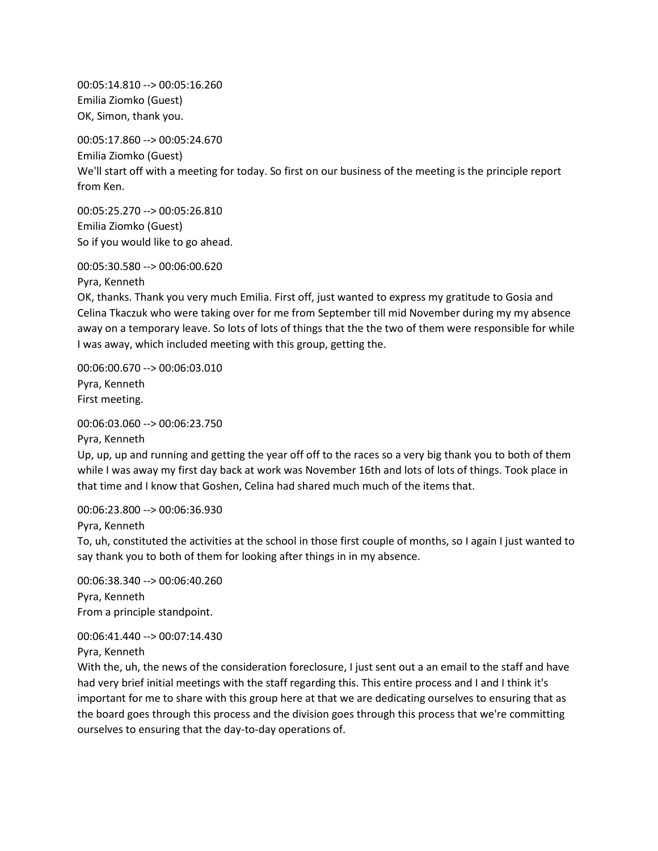00:05:14.810 --> 00:05:16.260 Emilia Ziomko (Guest) OK, Simon, thank you.

00:05:17.860 --> 00:05:24.670 Emilia Ziomko (Guest) We'll start off with a meeting for today. So first on our business of the meeting is the principle report from Ken.

00:05:25.270 --> 00:05:26.810 Emilia Ziomko (Guest) So if you would like to go ahead.

00:05:30.580 --> 00:06:00.620

Pyra, Kenneth

OK, thanks. Thank you very much Emilia. First off, just wanted to express my gratitude to Gosia and Celina Tkaczuk who were taking over for me from September till mid November during my my absence away on a temporary leave. So lots of lots of things that the the two of them were responsible for while I was away, which included meeting with this group, getting the.

00:06:00.670 --> 00:06:03.010 Pyra, Kenneth First meeting.

00:06:03.060 --> 00:06:23.750

Pyra, Kenneth

Up, up, up and running and getting the year off off to the races so a very big thank you to both of them while I was away my first day back at work was November 16th and lots of lots of things. Took place in that time and I know that Goshen, Celina had shared much much of the items that.

00:06:23.800 --> 00:06:36.930

Pyra, Kenneth

To, uh, constituted the activities at the school in those first couple of months, so I again I just wanted to say thank you to both of them for looking after things in in my absence.

00:06:38.340 --> 00:06:40.260 Pyra, Kenneth From a principle standpoint.

00:06:41.440 --> 00:07:14.430 Pyra, Kenneth

With the, uh, the news of the consideration foreclosure, I just sent out a an email to the staff and have had very brief initial meetings with the staff regarding this. This entire process and I and I think it's important for me to share with this group here at that we are dedicating ourselves to ensuring that as the board goes through this process and the division goes through this process that we're committing ourselves to ensuring that the day-to-day operations of.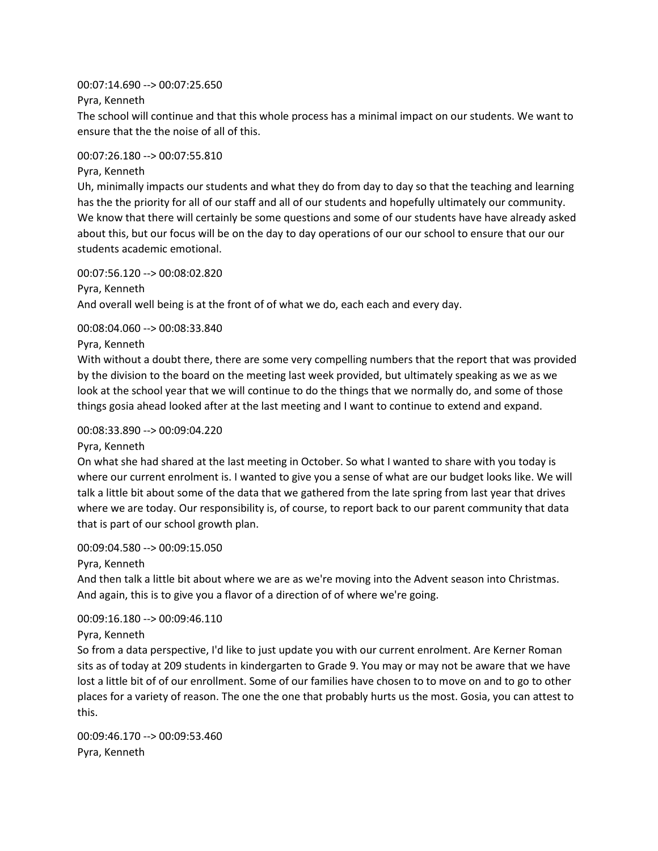00:07:14.690 --> 00:07:25.650

Pyra, Kenneth

The school will continue and that this whole process has a minimal impact on our students. We want to ensure that the the noise of all of this.

00:07:26.180 --> 00:07:55.810

Pyra, Kenneth

Uh, minimally impacts our students and what they do from day to day so that the teaching and learning has the the priority for all of our staff and all of our students and hopefully ultimately our community. We know that there will certainly be some questions and some of our students have have already asked about this, but our focus will be on the day to day operations of our our school to ensure that our our students academic emotional.

00:07:56.120 --> 00:08:02.820 Pyra, Kenneth And overall well being is at the front of of what we do, each each and every day.

00:08:04.060 --> 00:08:33.840

Pyra, Kenneth

With without a doubt there, there are some very compelling numbers that the report that was provided by the division to the board on the meeting last week provided, but ultimately speaking as we as we look at the school year that we will continue to do the things that we normally do, and some of those things gosia ahead looked after at the last meeting and I want to continue to extend and expand.

## 00:08:33.890 --> 00:09:04.220

Pyra, Kenneth

On what she had shared at the last meeting in October. So what I wanted to share with you today is where our current enrolment is. I wanted to give you a sense of what are our budget looks like. We will talk a little bit about some of the data that we gathered from the late spring from last year that drives where we are today. Our responsibility is, of course, to report back to our parent community that data that is part of our school growth plan.

# 00:09:04.580 --> 00:09:15.050

Pyra, Kenneth

And then talk a little bit about where we are as we're moving into the Advent season into Christmas. And again, this is to give you a flavor of a direction of of where we're going.

## 00:09:16.180 --> 00:09:46.110

Pyra, Kenneth

So from a data perspective, I'd like to just update you with our current enrolment. Are Kerner Roman sits as of today at 209 students in kindergarten to Grade 9. You may or may not be aware that we have lost a little bit of of our enrollment. Some of our families have chosen to to move on and to go to other places for a variety of reason. The one the one that probably hurts us the most. Gosia, you can attest to this.

00:09:46.170 --> 00:09:53.460 Pyra, Kenneth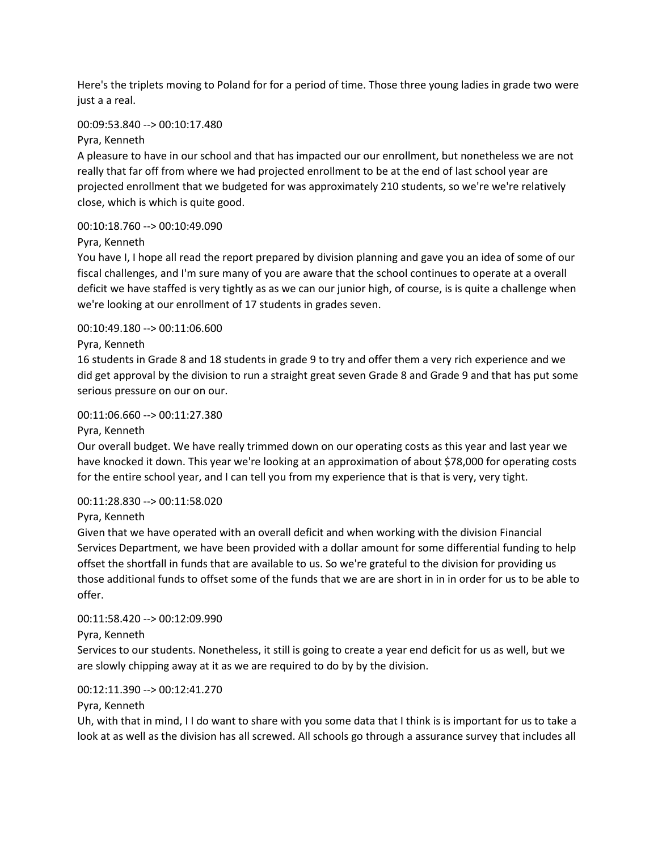Here's the triplets moving to Poland for for a period of time. Those three young ladies in grade two were just a a real.

## 00:09:53.840 --> 00:10:17.480

Pyra, Kenneth

A pleasure to have in our school and that has impacted our our enrollment, but nonetheless we are not really that far off from where we had projected enrollment to be at the end of last school year are projected enrollment that we budgeted for was approximately 210 students, so we're we're relatively close, which is which is quite good.

# 00:10:18.760 --> 00:10:49.090

# Pyra, Kenneth

You have I, I hope all read the report prepared by division planning and gave you an idea of some of our fiscal challenges, and I'm sure many of you are aware that the school continues to operate at a overall deficit we have staffed is very tightly as as we can our junior high, of course, is is quite a challenge when we're looking at our enrollment of 17 students in grades seven.

# 00:10:49.180 --> 00:11:06.600

# Pyra, Kenneth

16 students in Grade 8 and 18 students in grade 9 to try and offer them a very rich experience and we did get approval by the division to run a straight great seven Grade 8 and Grade 9 and that has put some serious pressure on our on our.

## 00:11:06.660 --> 00:11:27.380

## Pyra, Kenneth

Our overall budget. We have really trimmed down on our operating costs as this year and last year we have knocked it down. This year we're looking at an approximation of about \$78,000 for operating costs for the entire school year, and I can tell you from my experience that is that is very, very tight.

## 00:11:28.830 --> 00:11:58.020

## Pyra, Kenneth

Given that we have operated with an overall deficit and when working with the division Financial Services Department, we have been provided with a dollar amount for some differential funding to help offset the shortfall in funds that are available to us. So we're grateful to the division for providing us those additional funds to offset some of the funds that we are are short in in in order for us to be able to offer.

## 00:11:58.420 --> 00:12:09.990

# Pyra, Kenneth

Services to our students. Nonetheless, it still is going to create a year end deficit for us as well, but we are slowly chipping away at it as we are required to do by by the division.

# 00:12:11.390 --> 00:12:41.270

## Pyra, Kenneth

Uh, with that in mind, I I do want to share with you some data that I think is is important for us to take a look at as well as the division has all screwed. All schools go through a assurance survey that includes all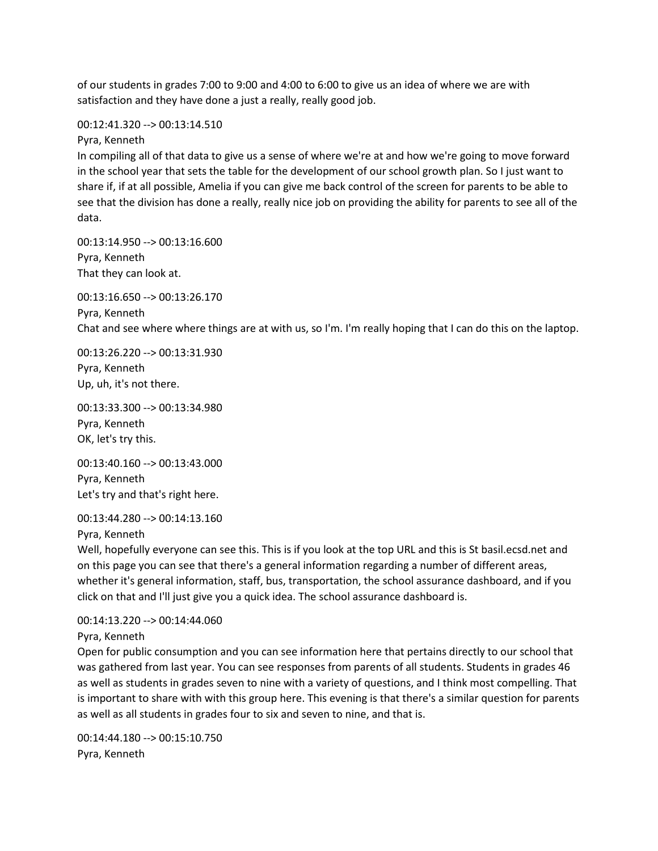of our students in grades 7:00 to 9:00 and 4:00 to 6:00 to give us an idea of where we are with satisfaction and they have done a just a really, really good job.

#### 00:12:41.320 --> 00:13:14.510

Pyra, Kenneth

In compiling all of that data to give us a sense of where we're at and how we're going to move forward in the school year that sets the table for the development of our school growth plan. So I just want to share if, if at all possible, Amelia if you can give me back control of the screen for parents to be able to see that the division has done a really, really nice job on providing the ability for parents to see all of the data.

00:13:14.950 --> 00:13:16.600 Pyra, Kenneth That they can look at.

00:13:16.650 --> 00:13:26.170 Pyra, Kenneth Chat and see where where things are at with us, so I'm. I'm really hoping that I can do this on the laptop.

00:13:26.220 --> 00:13:31.930 Pyra, Kenneth Up, uh, it's not there.

00:13:33.300 --> 00:13:34.980 Pyra, Kenneth OK, let's try this.

00:13:40.160 --> 00:13:43.000 Pyra, Kenneth Let's try and that's right here.

00:13:44.280 --> 00:14:13.160

Pyra, Kenneth

Well, hopefully everyone can see this. This is if you look at the top URL and this is St basil.ecsd.net and on this page you can see that there's a general information regarding a number of different areas, whether it's general information, staff, bus, transportation, the school assurance dashboard, and if you click on that and I'll just give you a quick idea. The school assurance dashboard is.

00:14:13.220 --> 00:14:44.060 Pyra, Kenneth

Open for public consumption and you can see information here that pertains directly to our school that was gathered from last year. You can see responses from parents of all students. Students in grades 46 as well as students in grades seven to nine with a variety of questions, and I think most compelling. That is important to share with with this group here. This evening is that there's a similar question for parents as well as all students in grades four to six and seven to nine, and that is.

00:14:44.180 --> 00:15:10.750 Pyra, Kenneth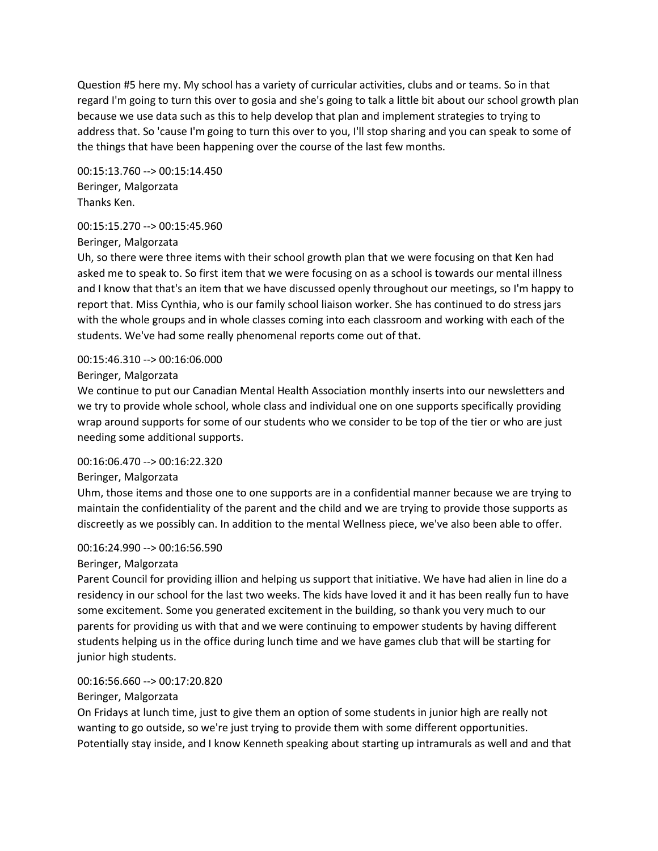Question #5 here my. My school has a variety of curricular activities, clubs and or teams. So in that regard I'm going to turn this over to gosia and she's going to talk a little bit about our school growth plan because we use data such as this to help develop that plan and implement strategies to trying to address that. So 'cause I'm going to turn this over to you, I'll stop sharing and you can speak to some of the things that have been happening over the course of the last few months.

00:15:13.760 --> 00:15:14.450 Beringer, Malgorzata Thanks Ken.

# 00:15:15.270 --> 00:15:45.960

Beringer, Malgorzata

Uh, so there were three items with their school growth plan that we were focusing on that Ken had asked me to speak to. So first item that we were focusing on as a school is towards our mental illness and I know that that's an item that we have discussed openly throughout our meetings, so I'm happy to report that. Miss Cynthia, who is our family school liaison worker. She has continued to do stress jars with the whole groups and in whole classes coming into each classroom and working with each of the students. We've had some really phenomenal reports come out of that.

# 00:15:46.310 --> 00:16:06.000

Beringer, Malgorzata

We continue to put our Canadian Mental Health Association monthly inserts into our newsletters and we try to provide whole school, whole class and individual one on one supports specifically providing wrap around supports for some of our students who we consider to be top of the tier or who are just needing some additional supports.

## 00:16:06.470 --> 00:16:22.320

## Beringer, Malgorzata

Uhm, those items and those one to one supports are in a confidential manner because we are trying to maintain the confidentiality of the parent and the child and we are trying to provide those supports as discreetly as we possibly can. In addition to the mental Wellness piece, we've also been able to offer.

## 00:16:24.990 --> 00:16:56.590

# Beringer, Malgorzata

Parent Council for providing illion and helping us support that initiative. We have had alien in line do a residency in our school for the last two weeks. The kids have loved it and it has been really fun to have some excitement. Some you generated excitement in the building, so thank you very much to our parents for providing us with that and we were continuing to empower students by having different students helping us in the office during lunch time and we have games club that will be starting for junior high students.

# 00:16:56.660 --> 00:17:20.820

# Beringer, Malgorzata

On Fridays at lunch time, just to give them an option of some students in junior high are really not wanting to go outside, so we're just trying to provide them with some different opportunities. Potentially stay inside, and I know Kenneth speaking about starting up intramurals as well and and that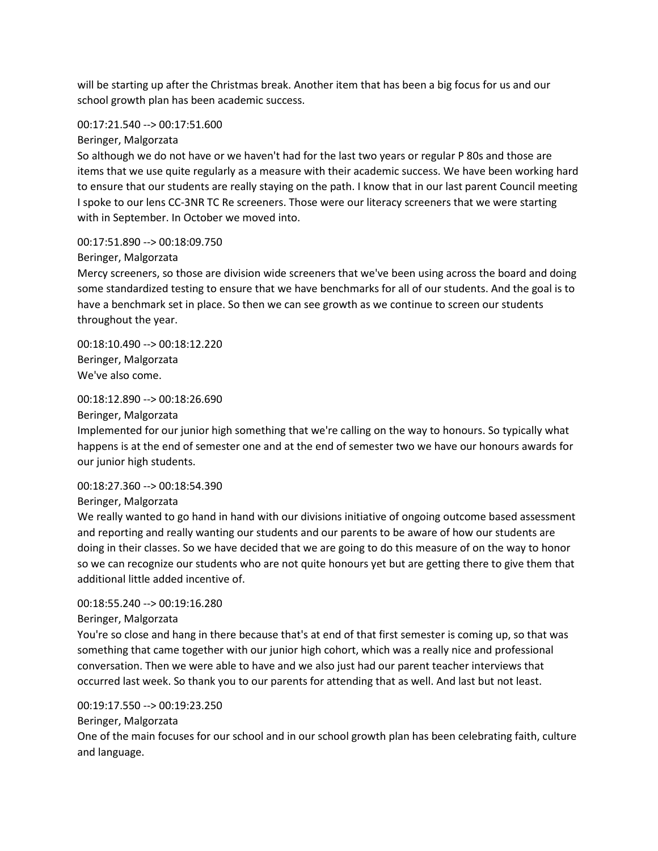will be starting up after the Christmas break. Another item that has been a big focus for us and our school growth plan has been academic success.

#### 00:17:21.540 --> 00:17:51.600

Beringer, Malgorzata

So although we do not have or we haven't had for the last two years or regular P 80s and those are items that we use quite regularly as a measure with their academic success. We have been working hard to ensure that our students are really staying on the path. I know that in our last parent Council meeting I spoke to our lens CC-3NR TC Re screeners. Those were our literacy screeners that we were starting with in September. In October we moved into.

#### 00:17:51.890 --> 00:18:09.750

#### Beringer, Malgorzata

Mercy screeners, so those are division wide screeners that we've been using across the board and doing some standardized testing to ensure that we have benchmarks for all of our students. And the goal is to have a benchmark set in place. So then we can see growth as we continue to screen our students throughout the year.

00:18:10.490 --> 00:18:12.220 Beringer, Malgorzata We've also come.

#### 00:18:12.890 --> 00:18:26.690

Beringer, Malgorzata

Implemented for our junior high something that we're calling on the way to honours. So typically what happens is at the end of semester one and at the end of semester two we have our honours awards for our junior high students.

#### 00:18:27.360 --> 00:18:54.390

Beringer, Malgorzata

We really wanted to go hand in hand with our divisions initiative of ongoing outcome based assessment and reporting and really wanting our students and our parents to be aware of how our students are doing in their classes. So we have decided that we are going to do this measure of on the way to honor so we can recognize our students who are not quite honours yet but are getting there to give them that additional little added incentive of.

#### 00:18:55.240 --> 00:19:16.280

#### Beringer, Malgorzata

You're so close and hang in there because that's at end of that first semester is coming up, so that was something that came together with our junior high cohort, which was a really nice and professional conversation. Then we were able to have and we also just had our parent teacher interviews that occurred last week. So thank you to our parents for attending that as well. And last but not least.

#### 00:19:17.550 --> 00:19:23.250

Beringer, Malgorzata

One of the main focuses for our school and in our school growth plan has been celebrating faith, culture and language.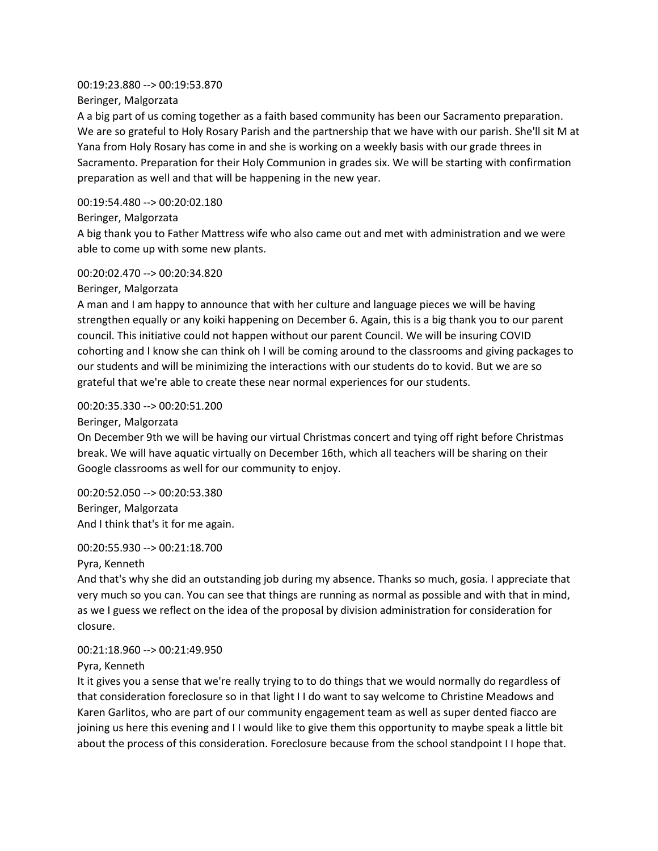## 00:19:23.880 --> 00:19:53.870 Beringer, Malgorzata

A a big part of us coming together as a faith based community has been our Sacramento preparation. We are so grateful to Holy Rosary Parish and the partnership that we have with our parish. She'll sit M at Yana from Holy Rosary has come in and she is working on a weekly basis with our grade threes in Sacramento. Preparation for their Holy Communion in grades six. We will be starting with confirmation preparation as well and that will be happening in the new year.

# 00:19:54.480 --> 00:20:02.180

Beringer, Malgorzata

A big thank you to Father Mattress wife who also came out and met with administration and we were able to come up with some new plants.

# 00:20:02.470 --> 00:20:34.820

Beringer, Malgorzata

A man and I am happy to announce that with her culture and language pieces we will be having strengthen equally or any koiki happening on December 6. Again, this is a big thank you to our parent council. This initiative could not happen without our parent Council. We will be insuring COVID cohorting and I know she can think oh I will be coming around to the classrooms and giving packages to our students and will be minimizing the interactions with our students do to kovid. But we are so grateful that we're able to create these near normal experiences for our students.

# 00:20:35.330 --> 00:20:51.200

Beringer, Malgorzata

On December 9th we will be having our virtual Christmas concert and tying off right before Christmas break. We will have aquatic virtually on December 16th, which all teachers will be sharing on their Google classrooms as well for our community to enjoy.

00:20:52.050 --> 00:20:53.380 Beringer, Malgorzata And I think that's it for me again.

## 00:20:55.930 --> 00:21:18.700

Pyra, Kenneth

And that's why she did an outstanding job during my absence. Thanks so much, gosia. I appreciate that very much so you can. You can see that things are running as normal as possible and with that in mind, as we I guess we reflect on the idea of the proposal by division administration for consideration for closure.

# 00:21:18.960 --> 00:21:49.950

## Pyra, Kenneth

It it gives you a sense that we're really trying to to do things that we would normally do regardless of that consideration foreclosure so in that light I I do want to say welcome to Christine Meadows and Karen Garlitos, who are part of our community engagement team as well as super dented fiacco are joining us here this evening and I I would like to give them this opportunity to maybe speak a little bit about the process of this consideration. Foreclosure because from the school standpoint I I hope that.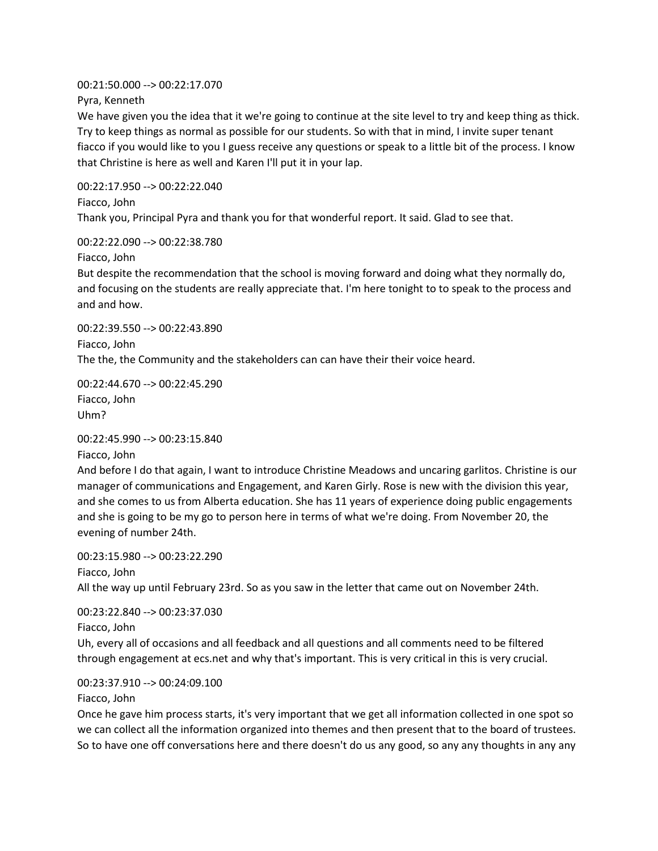00:21:50.000 --> 00:22:17.070

Pyra, Kenneth

We have given you the idea that it we're going to continue at the site level to try and keep thing as thick. Try to keep things as normal as possible for our students. So with that in mind, I invite super tenant fiacco if you would like to you I guess receive any questions or speak to a little bit of the process. I know that Christine is here as well and Karen I'll put it in your lap.

00:22:17.950 --> 00:22:22.040 Fiacco, John Thank you, Principal Pyra and thank you for that wonderful report. It said. Glad to see that.

00:22:22.090 --> 00:22:38.780

Fiacco, John

But despite the recommendation that the school is moving forward and doing what they normally do, and focusing on the students are really appreciate that. I'm here tonight to to speak to the process and and and how.

00:22:39.550 --> 00:22:43.890 Fiacco, John The the, the Community and the stakeholders can can have their their voice heard.

00:22:44.670 --> 00:22:45.290 Fiacco, John Uhm?

00:22:45.990 --> 00:23:15.840

Fiacco, John

And before I do that again, I want to introduce Christine Meadows and uncaring garlitos. Christine is our manager of communications and Engagement, and Karen Girly. Rose is new with the division this year, and she comes to us from Alberta education. She has 11 years of experience doing public engagements and she is going to be my go to person here in terms of what we're doing. From November 20, the evening of number 24th.

00:23:15.980 --> 00:23:22.290 Fiacco, John All the way up until February 23rd. So as you saw in the letter that came out on November 24th.

00:23:22.840 --> 00:23:37.030 Fiacco, John

Uh, every all of occasions and all feedback and all questions and all comments need to be filtered through engagement at ecs.net and why that's important. This is very critical in this is very crucial.

00:23:37.910 --> 00:24:09.100

Fiacco, John

Once he gave him process starts, it's very important that we get all information collected in one spot so we can collect all the information organized into themes and then present that to the board of trustees. So to have one off conversations here and there doesn't do us any good, so any any thoughts in any any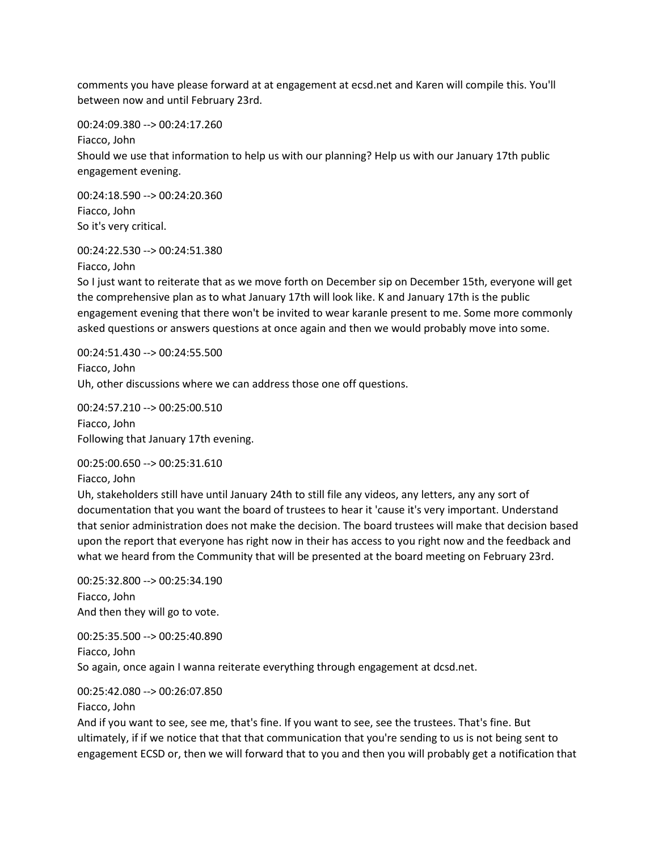comments you have please forward at at engagement at ecsd.net and Karen will compile this. You'll between now and until February 23rd.

00:24:09.380 --> 00:24:17.260 Fiacco, John Should we use that information to help us with our planning? Help us with our January 17th public engagement evening.

00:24:18.590 --> 00:24:20.360 Fiacco, John So it's very critical.

00:24:22.530 --> 00:24:51.380

Fiacco, John

So I just want to reiterate that as we move forth on December sip on December 15th, everyone will get the comprehensive plan as to what January 17th will look like. K and January 17th is the public engagement evening that there won't be invited to wear karanle present to me. Some more commonly asked questions or answers questions at once again and then we would probably move into some.

00:24:51.430 --> 00:24:55.500 Fiacco, John Uh, other discussions where we can address those one off questions.

00:24:57.210 --> 00:25:00.510 Fiacco, John Following that January 17th evening.

00:25:00.650 --> 00:25:31.610

Fiacco, John

Uh, stakeholders still have until January 24th to still file any videos, any letters, any any sort of documentation that you want the board of trustees to hear it 'cause it's very important. Understand that senior administration does not make the decision. The board trustees will make that decision based upon the report that everyone has right now in their has access to you right now and the feedback and what we heard from the Community that will be presented at the board meeting on February 23rd.

00:25:32.800 --> 00:25:34.190 Fiacco, John And then they will go to vote.

00:25:35.500 --> 00:25:40.890 Fiacco, John So again, once again I wanna reiterate everything through engagement at dcsd.net.

00:25:42.080 --> 00:26:07.850

Fiacco, John

And if you want to see, see me, that's fine. If you want to see, see the trustees. That's fine. But ultimately, if if we notice that that that communication that you're sending to us is not being sent to engagement ECSD or, then we will forward that to you and then you will probably get a notification that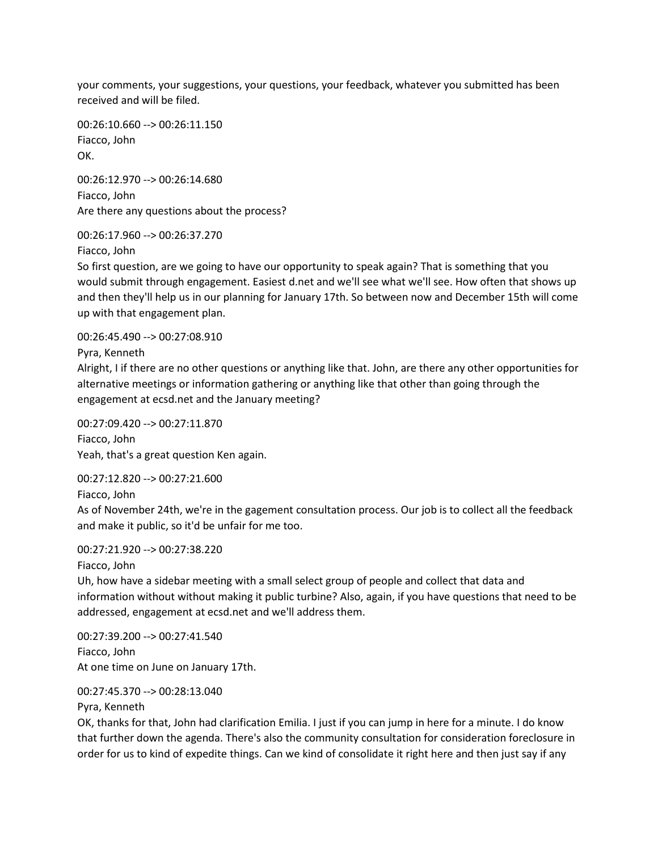your comments, your suggestions, your questions, your feedback, whatever you submitted has been received and will be filed.

00:26:10.660 --> 00:26:11.150 Fiacco, John OK.

00:26:12.970 --> 00:26:14.680 Fiacco, John Are there any questions about the process?

00:26:17.960 --> 00:26:37.270

Fiacco, John

So first question, are we going to have our opportunity to speak again? That is something that you would submit through engagement. Easiest d.net and we'll see what we'll see. How often that shows up and then they'll help us in our planning for January 17th. So between now and December 15th will come up with that engagement plan.

00:26:45.490 --> 00:27:08.910

Pyra, Kenneth

Alright, I if there are no other questions or anything like that. John, are there any other opportunities for alternative meetings or information gathering or anything like that other than going through the engagement at ecsd.net and the January meeting?

00:27:09.420 --> 00:27:11.870 Fiacco, John Yeah, that's a great question Ken again.

00:27:12.820 --> 00:27:21.600 Fiacco, John

As of November 24th, we're in the gagement consultation process. Our job is to collect all the feedback and make it public, so it'd be unfair for me too.

00:27:21.920 --> 00:27:38.220

Fiacco, John

Uh, how have a sidebar meeting with a small select group of people and collect that data and information without without making it public turbine? Also, again, if you have questions that need to be addressed, engagement at ecsd.net and we'll address them.

00:27:39.200 --> 00:27:41.540 Fiacco, John At one time on June on January 17th.

00:27:45.370 --> 00:28:13.040

Pyra, Kenneth

OK, thanks for that, John had clarification Emilia. I just if you can jump in here for a minute. I do know that further down the agenda. There's also the community consultation for consideration foreclosure in order for us to kind of expedite things. Can we kind of consolidate it right here and then just say if any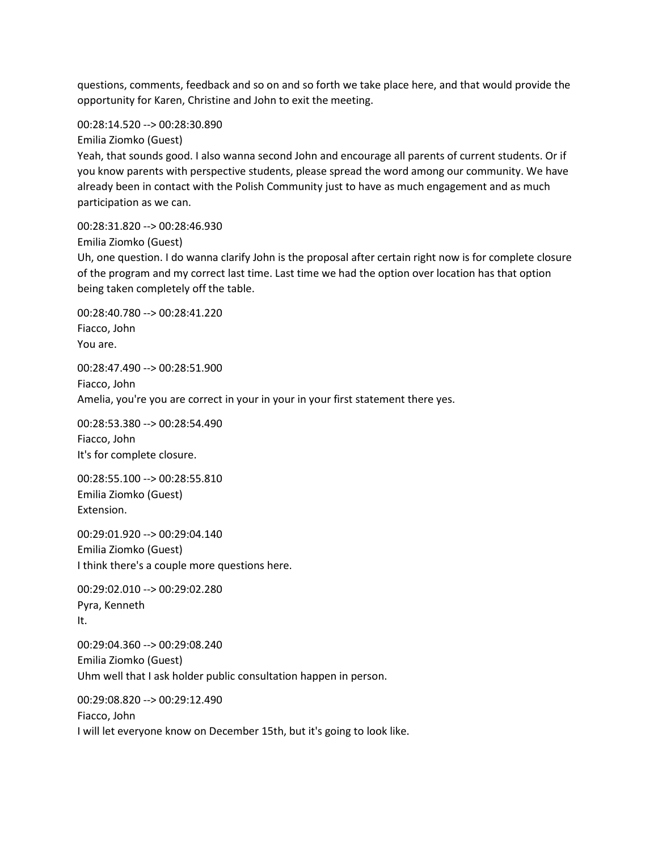questions, comments, feedback and so on and so forth we take place here, and that would provide the opportunity for Karen, Christine and John to exit the meeting.

00:28:14.520 --> 00:28:30.890

Emilia Ziomko (Guest)

Yeah, that sounds good. I also wanna second John and encourage all parents of current students. Or if you know parents with perspective students, please spread the word among our community. We have already been in contact with the Polish Community just to have as much engagement and as much participation as we can.

00:28:31.820 --> 00:28:46.930

Emilia Ziomko (Guest)

Uh, one question. I do wanna clarify John is the proposal after certain right now is for complete closure of the program and my correct last time. Last time we had the option over location has that option being taken completely off the table.

00:28:40.780 --> 00:28:41.220 Fiacco, John You are.

00:28:47.490 --> 00:28:51.900 Fiacco, John Amelia, you're you are correct in your in your in your first statement there yes.

00:28:53.380 --> 00:28:54.490 Fiacco, John It's for complete closure.

00:28:55.100 --> 00:28:55.810 Emilia Ziomko (Guest) Extension.

00:29:01.920 --> 00:29:04.140 Emilia Ziomko (Guest) I think there's a couple more questions here.

00:29:02.010 --> 00:29:02.280 Pyra, Kenneth It.

00:29:04.360 --> 00:29:08.240 Emilia Ziomko (Guest) Uhm well that I ask holder public consultation happen in person.

00:29:08.820 --> 00:29:12.490 Fiacco, John I will let everyone know on December 15th, but it's going to look like.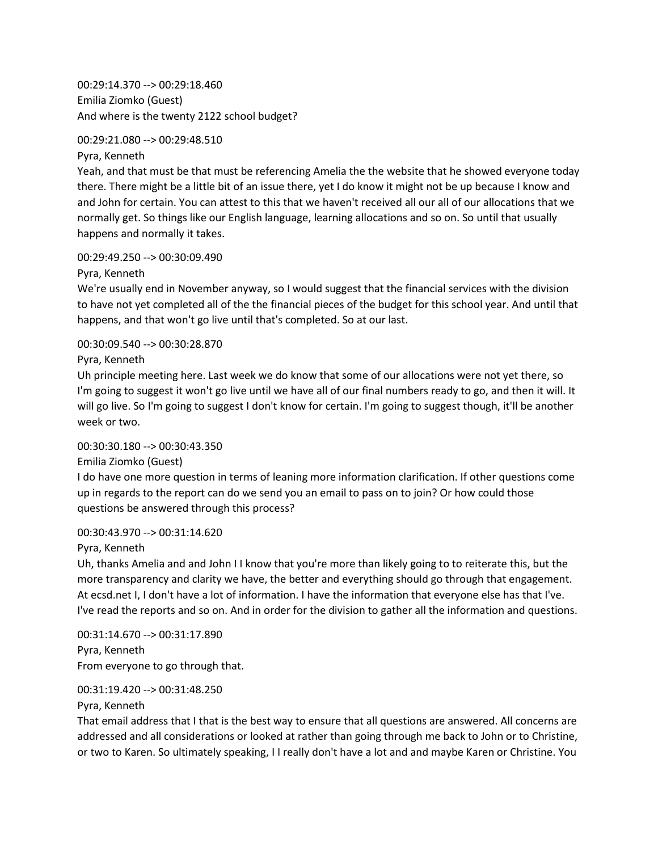00:29:14.370 --> 00:29:18.460 Emilia Ziomko (Guest) And where is the twenty 2122 school budget?

#### 00:29:21.080 --> 00:29:48.510

Pyra, Kenneth

Yeah, and that must be that must be referencing Amelia the the website that he showed everyone today there. There might be a little bit of an issue there, yet I do know it might not be up because I know and and John for certain. You can attest to this that we haven't received all our all of our allocations that we normally get. So things like our English language, learning allocations and so on. So until that usually happens and normally it takes.

#### 00:29:49.250 --> 00:30:09.490

Pyra, Kenneth

We're usually end in November anyway, so I would suggest that the financial services with the division to have not yet completed all of the the financial pieces of the budget for this school year. And until that happens, and that won't go live until that's completed. So at our last.

#### 00:30:09.540 --> 00:30:28.870

Pyra, Kenneth

Uh principle meeting here. Last week we do know that some of our allocations were not yet there, so I'm going to suggest it won't go live until we have all of our final numbers ready to go, and then it will. It will go live. So I'm going to suggest I don't know for certain. I'm going to suggest though, it'll be another week or two.

## 00:30:30.180 --> 00:30:43.350

Emilia Ziomko (Guest)

I do have one more question in terms of leaning more information clarification. If other questions come up in regards to the report can do we send you an email to pass on to join? Or how could those questions be answered through this process?

## 00:30:43.970 --> 00:31:14.620

#### Pyra, Kenneth

Uh, thanks Amelia and and John I I know that you're more than likely going to to reiterate this, but the more transparency and clarity we have, the better and everything should go through that engagement. At ecsd.net I, I don't have a lot of information. I have the information that everyone else has that I've. I've read the reports and so on. And in order for the division to gather all the information and questions.

00:31:14.670 --> 00:31:17.890 Pyra, Kenneth From everyone to go through that.

## 00:31:19.420 --> 00:31:48.250

## Pyra, Kenneth

That email address that I that is the best way to ensure that all questions are answered. All concerns are addressed and all considerations or looked at rather than going through me back to John or to Christine, or two to Karen. So ultimately speaking, I I really don't have a lot and and maybe Karen or Christine. You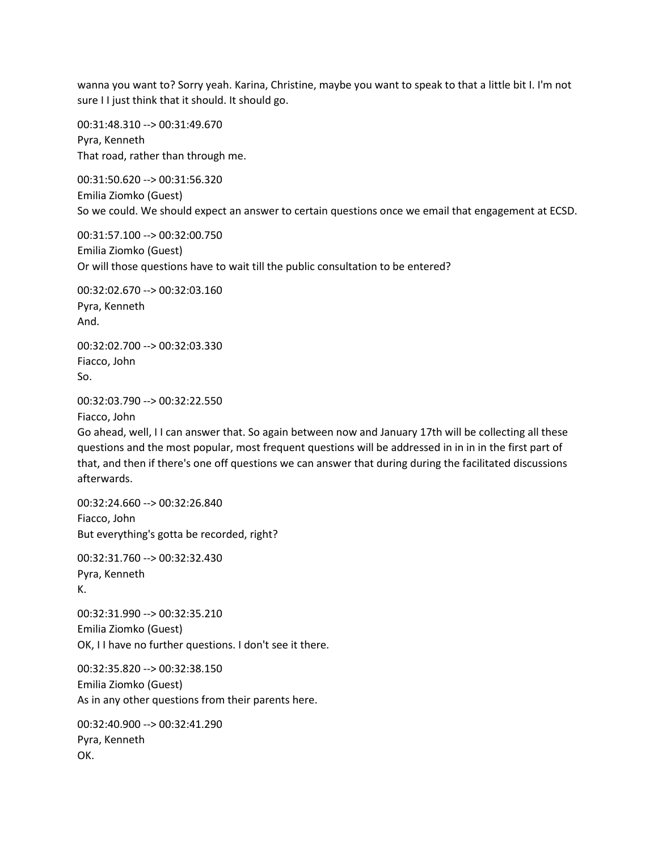wanna you want to? Sorry yeah. Karina, Christine, maybe you want to speak to that a little bit I. I'm not sure II just think that it should. It should go.

00:31:48.310 --> 00:31:49.670 Pyra, Kenneth That road, rather than through me.

00:31:50.620 --> 00:31:56.320 Emilia Ziomko (Guest) So we could. We should expect an answer to certain questions once we email that engagement at ECSD.

00:31:57.100 --> 00:32:00.750 Emilia Ziomko (Guest) Or will those questions have to wait till the public consultation to be entered?

00:32:02.670 --> 00:32:03.160 Pyra, Kenneth And.

00:32:02.700 --> 00:32:03.330 Fiacco, John So.

00:32:03.790 --> 00:32:22.550

Fiacco, John

Go ahead, well, I I can answer that. So again between now and January 17th will be collecting all these questions and the most popular, most frequent questions will be addressed in in in in the first part of that, and then if there's one off questions we can answer that during during the facilitated discussions afterwards.

00:32:24.660 --> 00:32:26.840 Fiacco, John But everything's gotta be recorded, right?

00:32:31.760 --> 00:32:32.430 Pyra, Kenneth K.

00:32:31.990 --> 00:32:35.210 Emilia Ziomko (Guest) OK, I I have no further questions. I don't see it there.

00:32:35.820 --> 00:32:38.150 Emilia Ziomko (Guest) As in any other questions from their parents here.

00:32:40.900 --> 00:32:41.290 Pyra, Kenneth OK.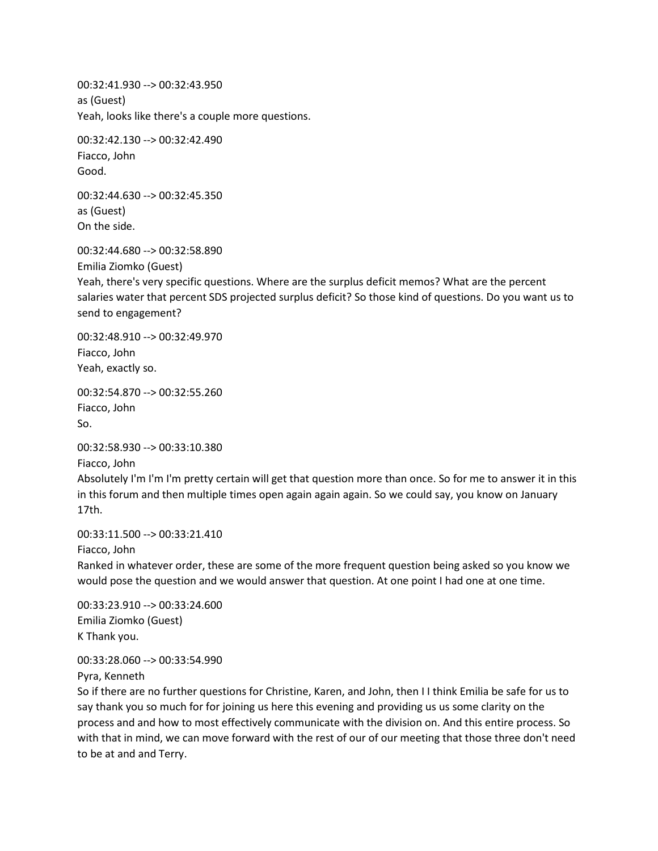00:32:41.930 --> 00:32:43.950 as (Guest) Yeah, looks like there's a couple more questions.

00:32:42.130 --> 00:32:42.490 Fiacco, John Good.

00:32:44.630 --> 00:32:45.350 as (Guest) On the side.

00:32:44.680 --> 00:32:58.890 Emilia Ziomko (Guest) Yeah, there's very specific questions. Where are the surplus deficit memos? What are the percent salaries water that percent SDS projected surplus deficit? So those kind of questions. Do you want us to send to engagement?

00:32:48.910 --> 00:32:49.970 Fiacco, John Yeah, exactly so.

00:32:54.870 --> 00:32:55.260 Fiacco, John So.

00:32:58.930 --> 00:33:10.380

Fiacco, John

Absolutely I'm I'm I'm pretty certain will get that question more than once. So for me to answer it in this in this forum and then multiple times open again again again. So we could say, you know on January 17th.

00:33:11.500 --> 00:33:21.410

Fiacco, John

Ranked in whatever order, these are some of the more frequent question being asked so you know we would pose the question and we would answer that question. At one point I had one at one time.

00:33:23.910 --> 00:33:24.600 Emilia Ziomko (Guest) K Thank you.

00:33:28.060 --> 00:33:54.990

Pyra, Kenneth

So if there are no further questions for Christine, Karen, and John, then I I think Emilia be safe for us to say thank you so much for for joining us here this evening and providing us us some clarity on the process and and how to most effectively communicate with the division on. And this entire process. So with that in mind, we can move forward with the rest of our of our meeting that those three don't need to be at and and Terry.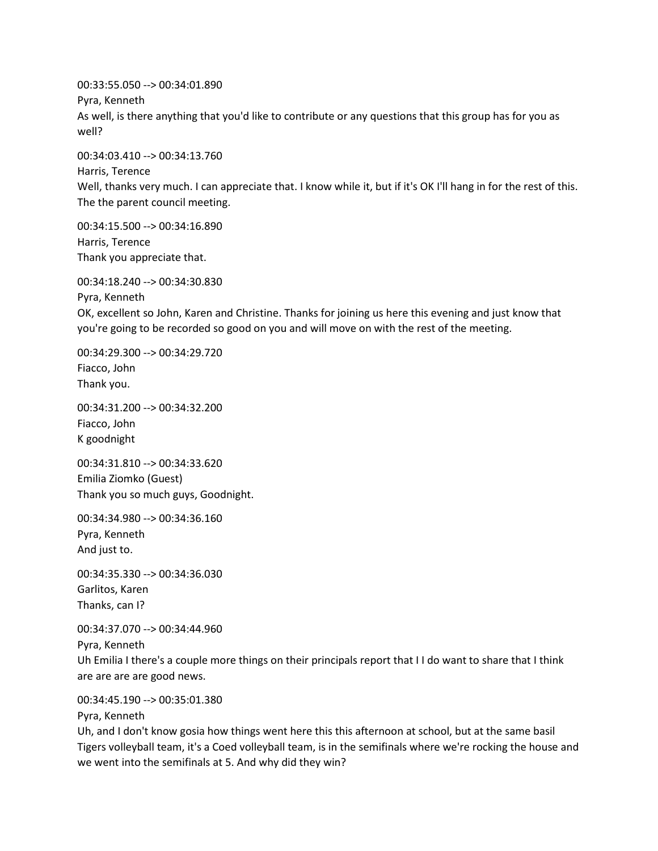00:33:55.050 --> 00:34:01.890 Pyra, Kenneth As well, is there anything that you'd like to contribute or any questions that this group has for you as well?

00:34:03.410 --> 00:34:13.760 Harris, Terence Well, thanks very much. I can appreciate that. I know while it, but if it's OK I'll hang in for the rest of this. The the parent council meeting.

00:34:15.500 --> 00:34:16.890 Harris, Terence Thank you appreciate that.

00:34:18.240 --> 00:34:30.830

Pyra, Kenneth

OK, excellent so John, Karen and Christine. Thanks for joining us here this evening and just know that you're going to be recorded so good on you and will move on with the rest of the meeting.

00:34:29.300 --> 00:34:29.720 Fiacco, John Thank you.

00:34:31.200 --> 00:34:32.200 Fiacco, John K goodnight

00:34:31.810 --> 00:34:33.620 Emilia Ziomko (Guest) Thank you so much guys, Goodnight.

00:34:34.980 --> 00:34:36.160 Pyra, Kenneth And just to.

00:34:35.330 --> 00:34:36.030 Garlitos, Karen Thanks, can I?

00:34:37.070 --> 00:34:44.960 Pyra, Kenneth Uh Emilia I there's a couple more things on their principals report that I I do want to share that I think are are are are good news.

00:34:45.190 --> 00:35:01.380

Pyra, Kenneth

Uh, and I don't know gosia how things went here this this afternoon at school, but at the same basil Tigers volleyball team, it's a Coed volleyball team, is in the semifinals where we're rocking the house and we went into the semifinals at 5. And why did they win?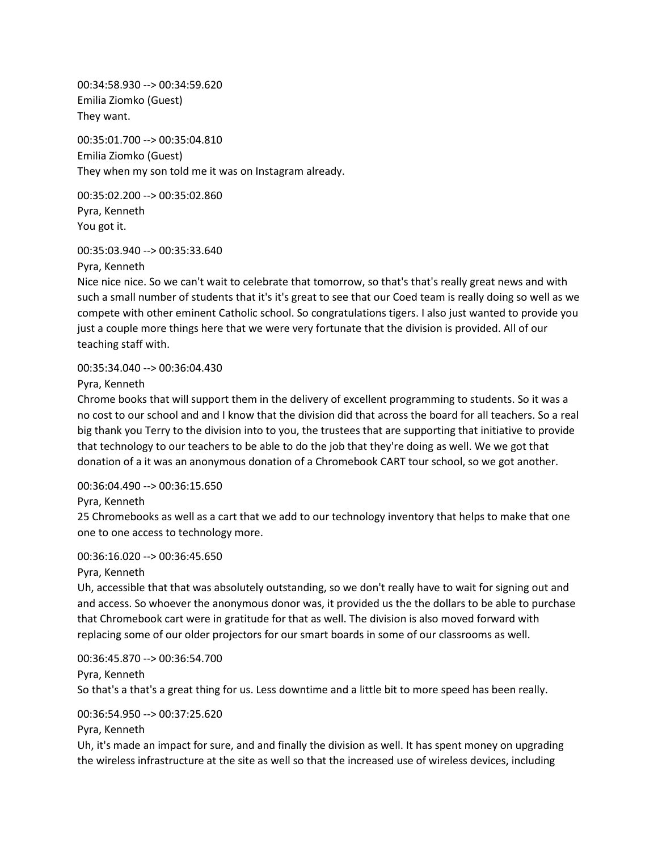00:34:58.930 --> 00:34:59.620 Emilia Ziomko (Guest) They want.

00:35:01.700 --> 00:35:04.810 Emilia Ziomko (Guest) They when my son told me it was on Instagram already.

00:35:02.200 --> 00:35:02.860 Pyra, Kenneth You got it.

#### 00:35:03.940 --> 00:35:33.640

Pyra, Kenneth

Nice nice nice. So we can't wait to celebrate that tomorrow, so that's that's really great news and with such a small number of students that it's it's great to see that our Coed team is really doing so well as we compete with other eminent Catholic school. So congratulations tigers. I also just wanted to provide you just a couple more things here that we were very fortunate that the division is provided. All of our teaching staff with.

#### 00:35:34.040 --> 00:36:04.430

Pyra, Kenneth

Chrome books that will support them in the delivery of excellent programming to students. So it was a no cost to our school and and I know that the division did that across the board for all teachers. So a real big thank you Terry to the division into to you, the trustees that are supporting that initiative to provide that technology to our teachers to be able to do the job that they're doing as well. We we got that donation of a it was an anonymous donation of a Chromebook CART tour school, so we got another.

## 00:36:04.490 --> 00:36:15.650

Pyra, Kenneth

25 Chromebooks as well as a cart that we add to our technology inventory that helps to make that one one to one access to technology more.

#### 00:36:16.020 --> 00:36:45.650

## Pyra, Kenneth

Uh, accessible that that was absolutely outstanding, so we don't really have to wait for signing out and and access. So whoever the anonymous donor was, it provided us the the dollars to be able to purchase that Chromebook cart were in gratitude for that as well. The division is also moved forward with replacing some of our older projectors for our smart boards in some of our classrooms as well.

00:36:45.870 --> 00:36:54.700 Pyra, Kenneth So that's a that's a great thing for us. Less downtime and a little bit to more speed has been really.

## 00:36:54.950 --> 00:37:25.620

Pyra, Kenneth

Uh, it's made an impact for sure, and and finally the division as well. It has spent money on upgrading the wireless infrastructure at the site as well so that the increased use of wireless devices, including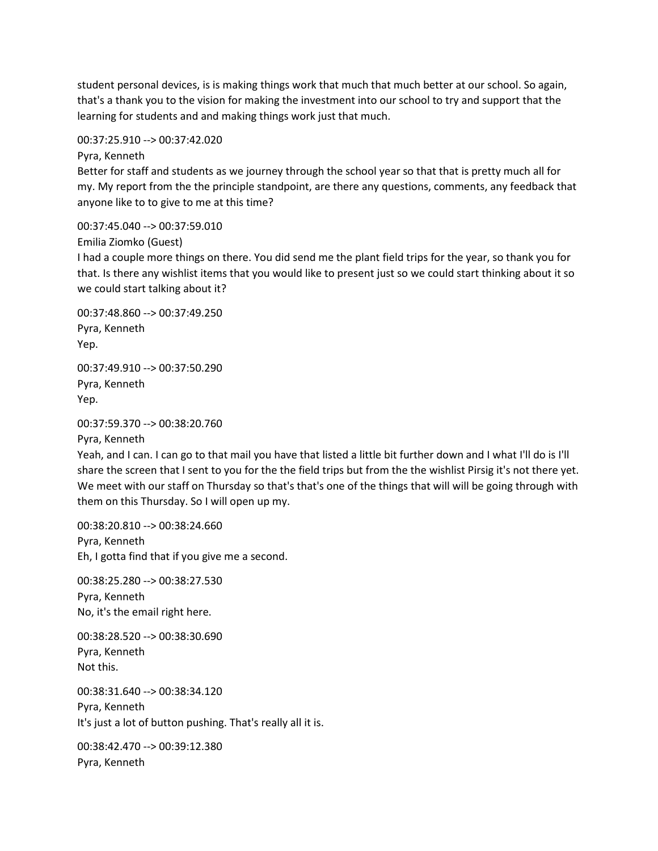student personal devices, is is making things work that much that much better at our school. So again, that's a thank you to the vision for making the investment into our school to try and support that the learning for students and and making things work just that much.

00:37:25.910 --> 00:37:42.020

Pyra, Kenneth

Better for staff and students as we journey through the school year so that that is pretty much all for my. My report from the the principle standpoint, are there any questions, comments, any feedback that anyone like to to give to me at this time?

00:37:45.040 --> 00:37:59.010

Emilia Ziomko (Guest)

I had a couple more things on there. You did send me the plant field trips for the year, so thank you for that. Is there any wishlist items that you would like to present just so we could start thinking about it so we could start talking about it?

00:37:48.860 --> 00:37:49.250 Pyra, Kenneth Yep.

00:37:49.910 --> 00:37:50.290 Pyra, Kenneth Yep.

```
00:37:59.370 --> 00:38:20.760
```
Pyra, Kenneth

Yeah, and I can. I can go to that mail you have that listed a little bit further down and I what I'll do is I'll share the screen that I sent to you for the the field trips but from the the wishlist Pirsig it's not there yet. We meet with our staff on Thursday so that's that's one of the things that will will be going through with them on this Thursday. So I will open up my.

00:38:20.810 --> 00:38:24.660 Pyra, Kenneth Eh, I gotta find that if you give me a second.

00:38:25.280 --> 00:38:27.530 Pyra, Kenneth No, it's the email right here.

00:38:28.520 --> 00:38:30.690 Pyra, Kenneth Not this.

00:38:31.640 --> 00:38:34.120 Pyra, Kenneth It's just a lot of button pushing. That's really all it is.

00:38:42.470 --> 00:39:12.380 Pyra, Kenneth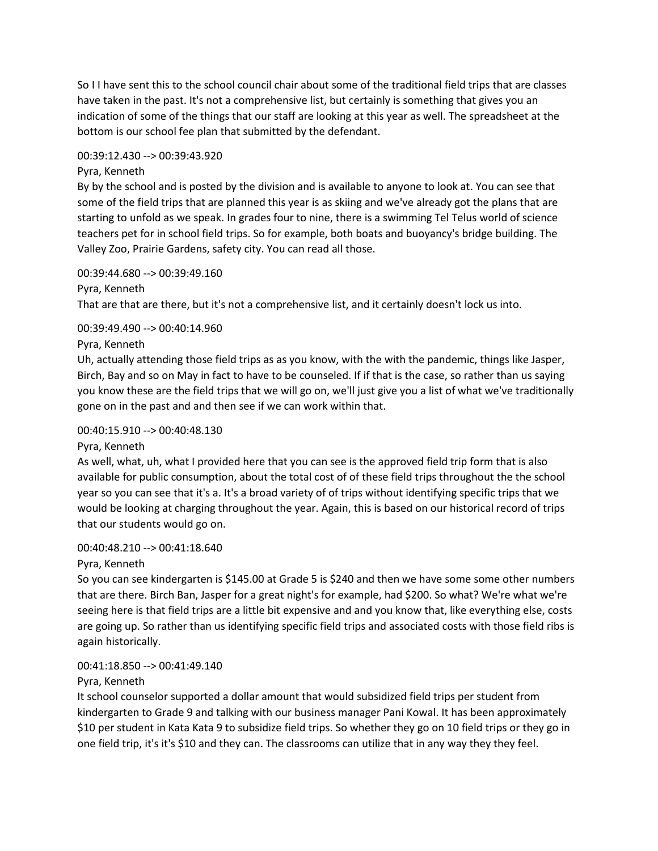So I I have sent this to the school council chair about some of the traditional field trips that are classes have taken in the past. It's not a comprehensive list, but certainly is something that gives you an indication of some of the things that our staff are looking at this year as well. The spreadsheet at the bottom is our school fee plan that submitted by the defendant.

#### 00:39:12.430 --> 00:39:43.920

#### Pyra, Kenneth

By by the school and is posted by the division and is available to anyone to look at. You can see that some of the field trips that are planned this year is as skiing and we've already got the plans that are starting to unfold as we speak. In grades four to nine, there is a swimming Tel Telus world of science teachers pet for in school field trips. So for example, both boats and buoyancy's bridge building. The Valley Zoo, Prairie Gardens, safety city. You can read all those.

#### 00:39:44.680 --> 00:39:49.160

Pyra, Kenneth

That are that are there, but it's not a comprehensive list, and it certainly doesn't lock us into.

## 00:39:49.490 --> 00:40:14.960

#### Pyra, Kenneth

Uh, actually attending those field trips as as you know, with the with the pandemic, things like Jasper, Birch, Bay and so on May in fact to have to be counseled. If if that is the case, so rather than us saying you know these are the field trips that we will go on, we'll just give you a list of what we've traditionally gone on in the past and and then see if we can work within that.

#### 00:40:15.910 --> 00:40:48.130

## Pyra, Kenneth

As well, what, uh, what I provided here that you can see is the approved field trip form that is also available for public consumption, about the total cost of of these field trips throughout the the school year so you can see that it's a. It's a broad variety of of trips without identifying specific trips that we would be looking at charging throughout the year. Again, this is based on our historical record of trips that our students would go on.

## 00:40:48.210 --> 00:41:18.640

## Pyra, Kenneth

So you can see kindergarten is \$145.00 at Grade 5 is \$240 and then we have some some other numbers that are there. Birch Ban, Jasper for a great night's for example, had \$200. So what? We're what we're seeing here is that field trips are a little bit expensive and and you know that, like everything else, costs are going up. So rather than us identifying specific field trips and associated costs with those field ribs is again historically.

## 00:41:18.850 --> 00:41:49.140

## Pyra, Kenneth

It school counselor supported a dollar amount that would subsidized field trips per student from kindergarten to Grade 9 and talking with our business manager Pani Kowal. It has been approximately \$10 per student in Kata Kata 9 to subsidize field trips. So whether they go on 10 field trips or they go in one field trip, it's it's \$10 and they can. The classrooms can utilize that in any way they they feel.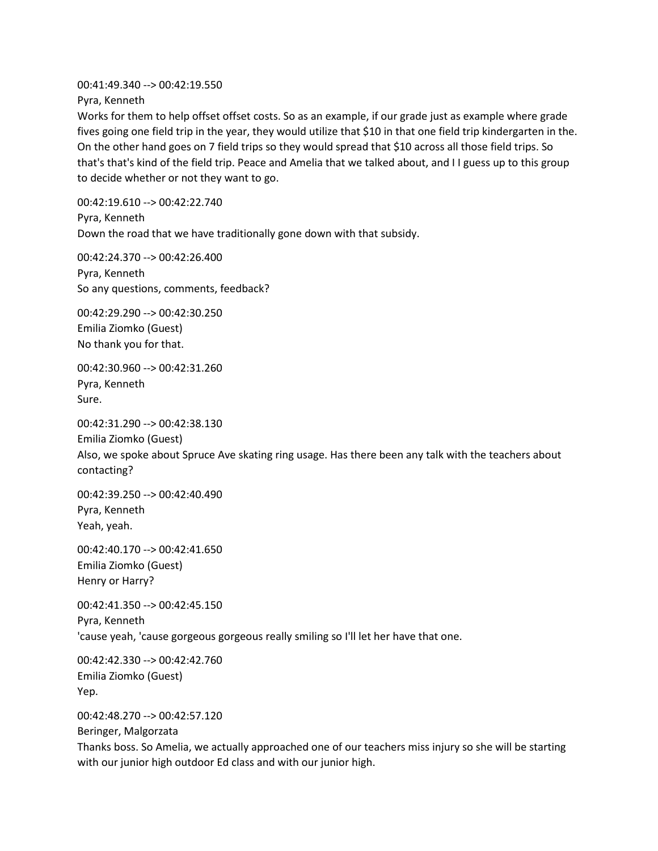00:41:49.340 --> 00:42:19.550

Pyra, Kenneth

Works for them to help offset offset costs. So as an example, if our grade just as example where grade fives going one field trip in the year, they would utilize that \$10 in that one field trip kindergarten in the. On the other hand goes on 7 field trips so they would spread that \$10 across all those field trips. So that's that's kind of the field trip. Peace and Amelia that we talked about, and I I guess up to this group to decide whether or not they want to go.

00:42:19.610 --> 00:42:22.740 Pyra, Kenneth Down the road that we have traditionally gone down with that subsidy.

00:42:24.370 --> 00:42:26.400 Pyra, Kenneth So any questions, comments, feedback?

00:42:29.290 --> 00:42:30.250 Emilia Ziomko (Guest) No thank you for that.

00:42:30.960 --> 00:42:31.260 Pyra, Kenneth Sure.

00:42:31.290 --> 00:42:38.130 Emilia Ziomko (Guest)

Also, we spoke about Spruce Ave skating ring usage. Has there been any talk with the teachers about contacting?

00:42:39.250 --> 00:42:40.490 Pyra, Kenneth Yeah, yeah.

00:42:40.170 --> 00:42:41.650 Emilia Ziomko (Guest) Henry or Harry?

00:42:41.350 --> 00:42:45.150 Pyra, Kenneth 'cause yeah, 'cause gorgeous gorgeous really smiling so I'll let her have that one.

00:42:42.330 --> 00:42:42.760 Emilia Ziomko (Guest) Yep.

00:42:48.270 --> 00:42:57.120

Beringer, Malgorzata

Thanks boss. So Amelia, we actually approached one of our teachers miss injury so she will be starting with our junior high outdoor Ed class and with our junior high.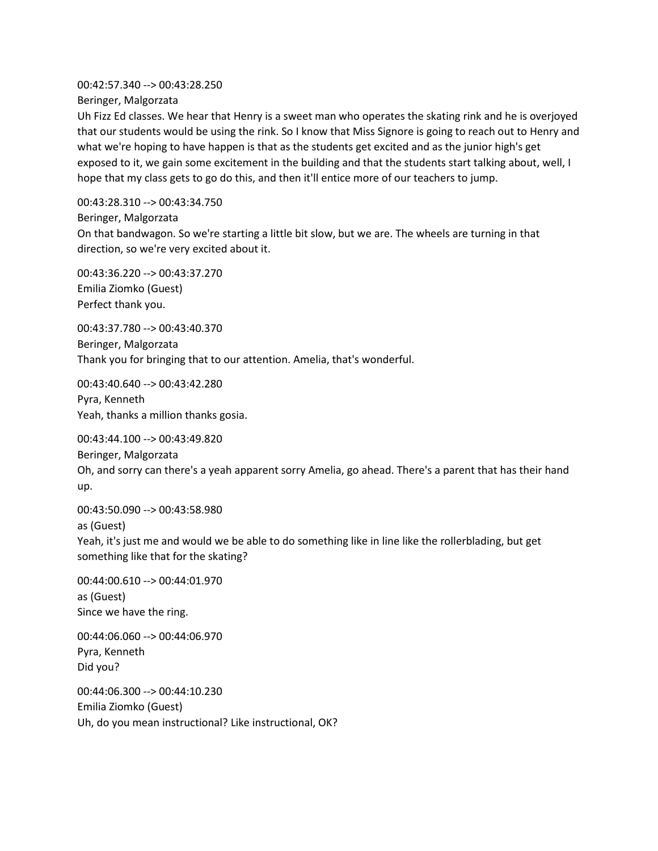00:42:57.340 --> 00:43:28.250 Beringer, Malgorzata

Uh Fizz Ed classes. We hear that Henry is a sweet man who operates the skating rink and he is overjoyed that our students would be using the rink. So I know that Miss Signore is going to reach out to Henry and what we're hoping to have happen is that as the students get excited and as the junior high's get exposed to it, we gain some excitement in the building and that the students start talking about, well, I hope that my class gets to go do this, and then it'll entice more of our teachers to jump.

00:43:28.310 --> 00:43:34.750

Beringer, Malgorzata

On that bandwagon. So we're starting a little bit slow, but we are. The wheels are turning in that direction, so we're very excited about it.

00:43:36.220 --> 00:43:37.270 Emilia Ziomko (Guest) Perfect thank you.

00:43:37.780 --> 00:43:40.370 Beringer, Malgorzata Thank you for bringing that to our attention. Amelia, that's wonderful.

00:43:40.640 --> 00:43:42.280 Pyra, Kenneth Yeah, thanks a million thanks gosia.

00:43:44.100 --> 00:43:49.820 Beringer, Malgorzata Oh, and sorry can there's a yeah apparent sorry Amelia, go ahead. There's a parent that has their hand up.

00:43:50.090 --> 00:43:58.980 as (Guest)

Yeah, it's just me and would we be able to do something like in line like the rollerblading, but get something like that for the skating?

00:44:00.610 --> 00:44:01.970 as (Guest) Since we have the ring.

00:44:06.060 --> 00:44:06.970 Pyra, Kenneth Did you?

00:44:06.300 --> 00:44:10.230 Emilia Ziomko (Guest) Uh, do you mean instructional? Like instructional, OK?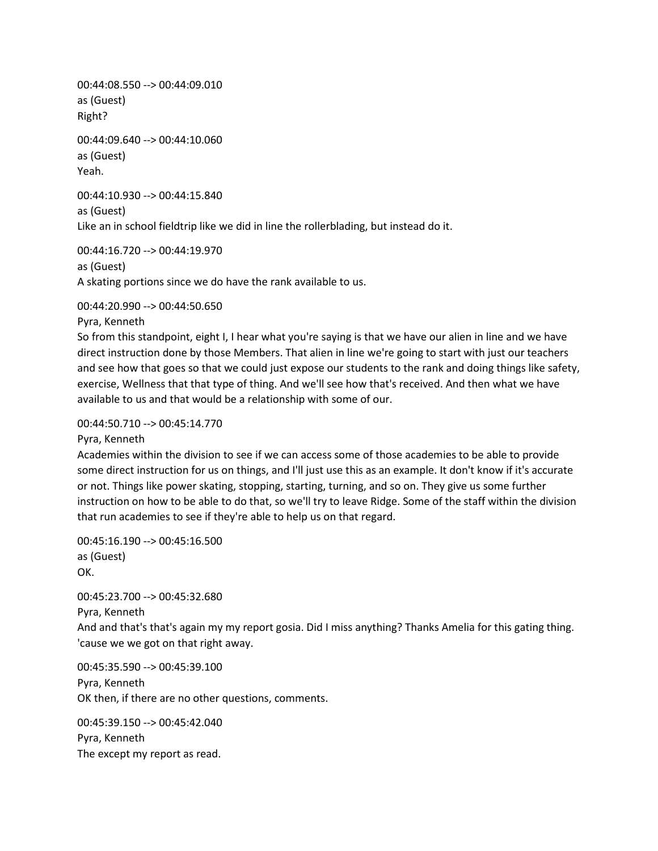00:44:08.550 --> 00:44:09.010 as (Guest) Right?

00:44:09.640 --> 00:44:10.060 as (Guest) Yeah.

00:44:10.930 --> 00:44:15.840 as (Guest) Like an in school fieldtrip like we did in line the rollerblading, but instead do it.

00:44:16.720 --> 00:44:19.970 as (Guest) A skating portions since we do have the rank available to us.

00:44:20.990 --> 00:44:50.650

Pyra, Kenneth

So from this standpoint, eight I, I hear what you're saying is that we have our alien in line and we have direct instruction done by those Members. That alien in line we're going to start with just our teachers and see how that goes so that we could just expose our students to the rank and doing things like safety, exercise, Wellness that that type of thing. And we'll see how that's received. And then what we have available to us and that would be a relationship with some of our.

#### 00:44:50.710 --> 00:45:14.770

Pyra, Kenneth

Academies within the division to see if we can access some of those academies to be able to provide some direct instruction for us on things, and I'll just use this as an example. It don't know if it's accurate or not. Things like power skating, stopping, starting, turning, and so on. They give us some further instruction on how to be able to do that, so we'll try to leave Ridge. Some of the staff within the division that run academies to see if they're able to help us on that regard.

00:45:16.190 --> 00:45:16.500 as (Guest) OK.

00:45:23.700 --> 00:45:32.680 Pyra, Kenneth And and that's that's again my my report gosia. Did I miss anything? Thanks Amelia for this gating thing. 'cause we we got on that right away.

00:45:35.590 --> 00:45:39.100 Pyra, Kenneth OK then, if there are no other questions, comments.

00:45:39.150 --> 00:45:42.040 Pyra, Kenneth The except my report as read.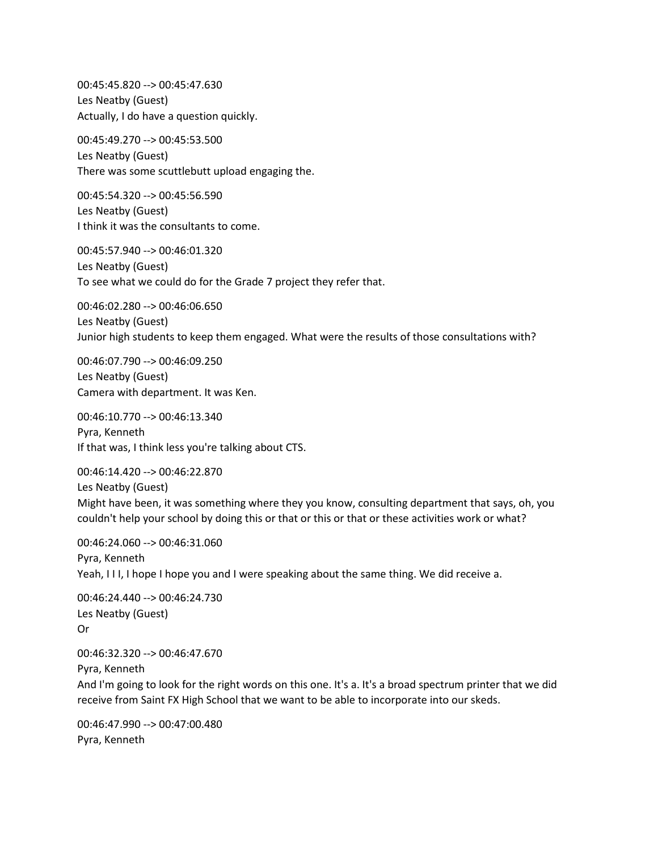00:45:45.820 --> 00:45:47.630 Les Neatby (Guest) Actually, I do have a question quickly.

00:45:49.270 --> 00:45:53.500 Les Neatby (Guest) There was some scuttlebutt upload engaging the.

00:45:54.320 --> 00:45:56.590 Les Neatby (Guest) I think it was the consultants to come.

00:45:57.940 --> 00:46:01.320 Les Neatby (Guest) To see what we could do for the Grade 7 project they refer that.

00:46:02.280 --> 00:46:06.650 Les Neatby (Guest) Junior high students to keep them engaged. What were the results of those consultations with?

00:46:07.790 --> 00:46:09.250 Les Neatby (Guest) Camera with department. It was Ken.

00:46:10.770 --> 00:46:13.340 Pyra, Kenneth If that was, I think less you're talking about CTS.

00:46:14.420 --> 00:46:22.870 Les Neatby (Guest) Might have been, it was something where they you know, consulting department that says, oh, you couldn't help your school by doing this or that or this or that or these activities work or what?

00:46:24.060 --> 00:46:31.060 Pyra, Kenneth Yeah, III, I hope I hope you and I were speaking about the same thing. We did receive a.

00:46:24.440 --> 00:46:24.730 Les Neatby (Guest) Or

00:46:32.320 --> 00:46:47.670

Pyra, Kenneth

And I'm going to look for the right words on this one. It's a. It's a broad spectrum printer that we did receive from Saint FX High School that we want to be able to incorporate into our skeds.

00:46:47.990 --> 00:47:00.480 Pyra, Kenneth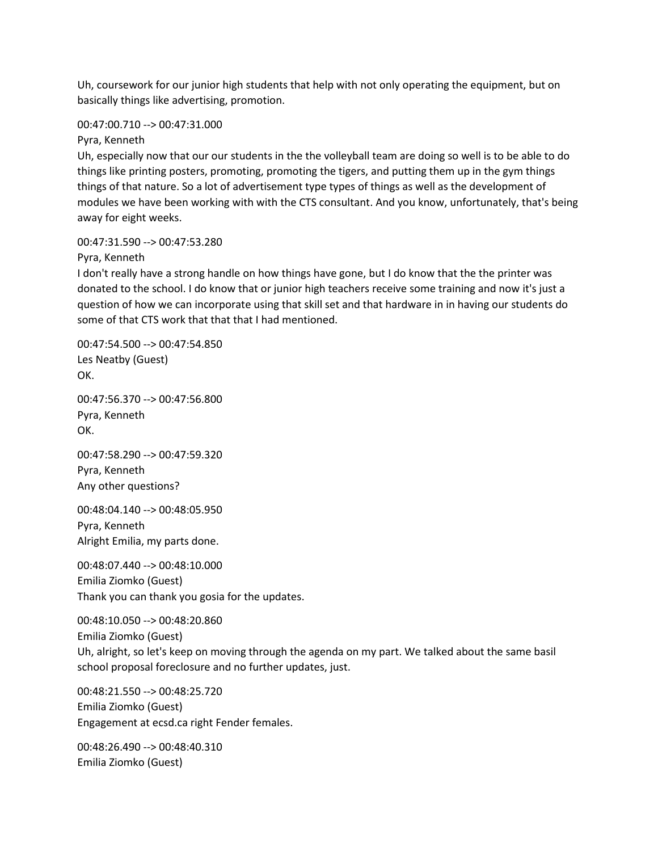Uh, coursework for our junior high students that help with not only operating the equipment, but on basically things like advertising, promotion.

#### 00:47:00.710 --> 00:47:31.000

Pyra, Kenneth

Uh, especially now that our our students in the the volleyball team are doing so well is to be able to do things like printing posters, promoting, promoting the tigers, and putting them up in the gym things things of that nature. So a lot of advertisement type types of things as well as the development of modules we have been working with with the CTS consultant. And you know, unfortunately, that's being away for eight weeks.

#### 00:47:31.590 --> 00:47:53.280

Pyra, Kenneth

I don't really have a strong handle on how things have gone, but I do know that the the printer was donated to the school. I do know that or junior high teachers receive some training and now it's just a question of how we can incorporate using that skill set and that hardware in in having our students do some of that CTS work that that that I had mentioned.

00:47:54.500 --> 00:47:54.850 Les Neatby (Guest) OK.

00:47:56.370 --> 00:47:56.800 Pyra, Kenneth OK.

00:47:58.290 --> 00:47:59.320 Pyra, Kenneth Any other questions?

00:48:04.140 --> 00:48:05.950 Pyra, Kenneth Alright Emilia, my parts done.

00:48:07.440 --> 00:48:10.000 Emilia Ziomko (Guest) Thank you can thank you gosia for the updates.

00:48:10.050 --> 00:48:20.860 Emilia Ziomko (Guest) Uh, alright, so let's keep on moving through the agenda on my part. We talked about the same basil school proposal foreclosure and no further updates, just.

00:48:21.550 --> 00:48:25.720 Emilia Ziomko (Guest) Engagement at ecsd.ca right Fender females.

00:48:26.490 --> 00:48:40.310 Emilia Ziomko (Guest)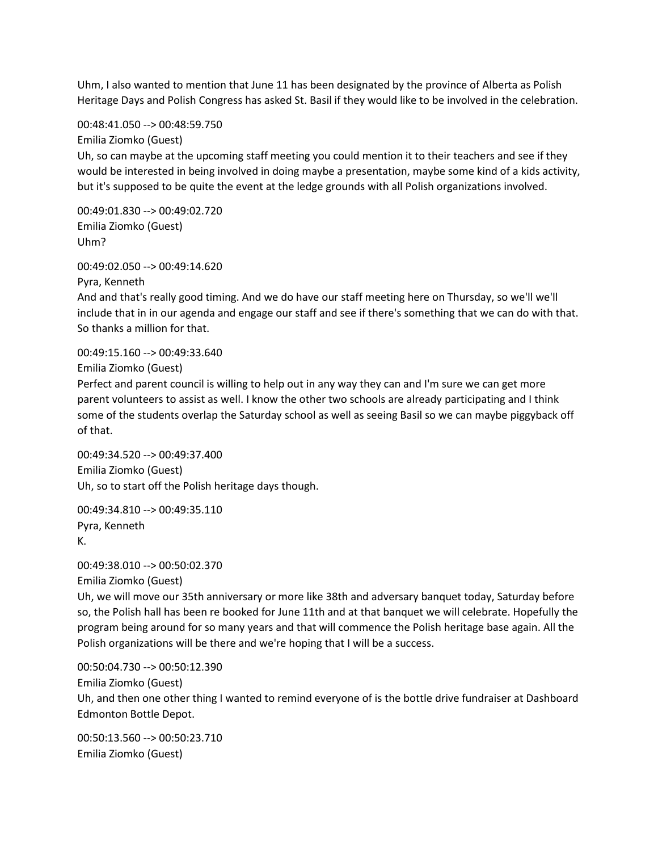Uhm, I also wanted to mention that June 11 has been designated by the province of Alberta as Polish Heritage Days and Polish Congress has asked St. Basil if they would like to be involved in the celebration.

00:48:41.050 --> 00:48:59.750

Emilia Ziomko (Guest)

Uh, so can maybe at the upcoming staff meeting you could mention it to their teachers and see if they would be interested in being involved in doing maybe a presentation, maybe some kind of a kids activity, but it's supposed to be quite the event at the ledge grounds with all Polish organizations involved.

00:49:01.830 --> 00:49:02.720 Emilia Ziomko (Guest) Uhm?

00:49:02.050 --> 00:49:14.620

Pyra, Kenneth

And and that's really good timing. And we do have our staff meeting here on Thursday, so we'll we'll include that in in our agenda and engage our staff and see if there's something that we can do with that. So thanks a million for that.

00:49:15.160 --> 00:49:33.640

Emilia Ziomko (Guest)

Perfect and parent council is willing to help out in any way they can and I'm sure we can get more parent volunteers to assist as well. I know the other two schools are already participating and I think some of the students overlap the Saturday school as well as seeing Basil so we can maybe piggyback off of that.

00:49:34.520 --> 00:49:37.400 Emilia Ziomko (Guest) Uh, so to start off the Polish heritage days though.

00:49:34.810 --> 00:49:35.110 Pyra, Kenneth K.

00:49:38.010 --> 00:50:02.370 Emilia Ziomko (Guest)

Uh, we will move our 35th anniversary or more like 38th and adversary banquet today, Saturday before so, the Polish hall has been re booked for June 11th and at that banquet we will celebrate. Hopefully the program being around for so many years and that will commence the Polish heritage base again. All the Polish organizations will be there and we're hoping that I will be a success.

00:50:04.730 --> 00:50:12.390 Emilia Ziomko (Guest) Uh, and then one other thing I wanted to remind everyone of is the bottle drive fundraiser at Dashboard Edmonton Bottle Depot.

00:50:13.560 --> 00:50:23.710 Emilia Ziomko (Guest)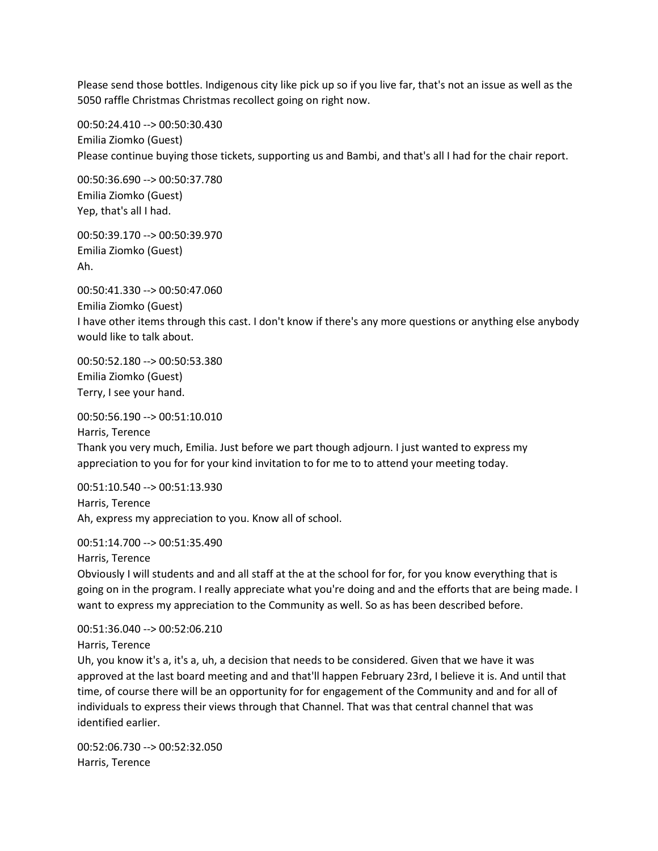Please send those bottles. Indigenous city like pick up so if you live far, that's not an issue as well as the 5050 raffle Christmas Christmas recollect going on right now.

00:50:24.410 --> 00:50:30.430 Emilia Ziomko (Guest) Please continue buying those tickets, supporting us and Bambi, and that's all I had for the chair report.

00:50:36.690 --> 00:50:37.780 Emilia Ziomko (Guest) Yep, that's all I had.

00:50:39.170 --> 00:50:39.970 Emilia Ziomko (Guest) Ah.

00:50:41.330 --> 00:50:47.060 Emilia Ziomko (Guest) I have other items through this cast. I don't know if there's any more questions or anything else anybody would like to talk about.

00:50:52.180 --> 00:50:53.380 Emilia Ziomko (Guest) Terry, I see your hand.

00:50:56.190 --> 00:51:10.010 Harris, Terence Thank you very much, Emilia. Just before we part though adjourn. I just wanted to express my appreciation to you for for your kind invitation to for me to to attend your meeting today.

00:51:10.540 --> 00:51:13.930 Harris, Terence Ah, express my appreciation to you. Know all of school.

00:51:14.700 --> 00:51:35.490

Harris, Terence

Obviously I will students and and all staff at the at the school for for, for you know everything that is going on in the program. I really appreciate what you're doing and and the efforts that are being made. I want to express my appreciation to the Community as well. So as has been described before.

00:51:36.040 --> 00:52:06.210

Harris, Terence

Uh, you know it's a, it's a, uh, a decision that needs to be considered. Given that we have it was approved at the last board meeting and and that'll happen February 23rd, I believe it is. And until that time, of course there will be an opportunity for for engagement of the Community and and for all of individuals to express their views through that Channel. That was that central channel that was identified earlier.

00:52:06.730 --> 00:52:32.050 Harris, Terence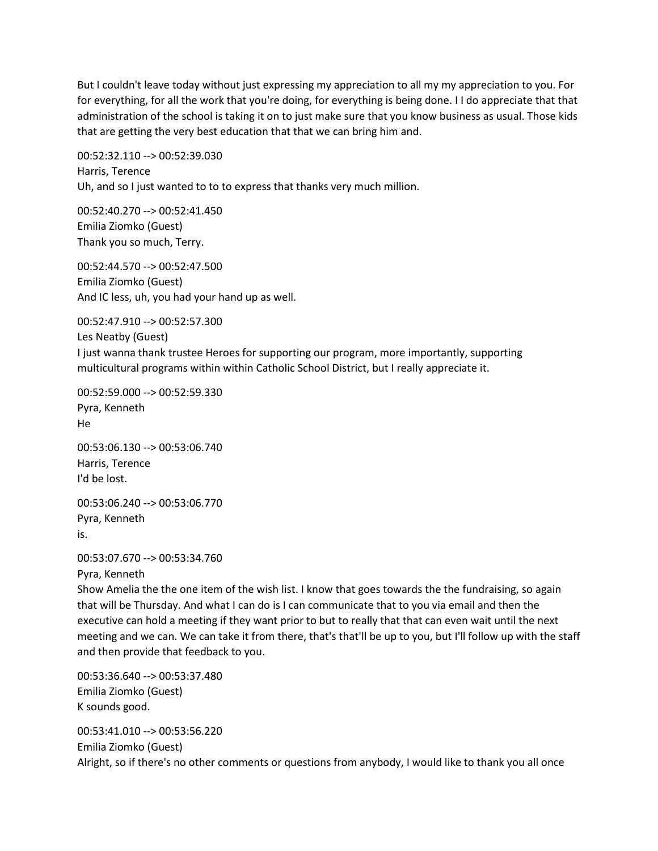But I couldn't leave today without just expressing my appreciation to all my my appreciation to you. For for everything, for all the work that you're doing, for everything is being done. I I do appreciate that that administration of the school is taking it on to just make sure that you know business as usual. Those kids that are getting the very best education that that we can bring him and.

00:52:32.110 --> 00:52:39.030 Harris, Terence Uh, and so I just wanted to to to express that thanks very much million.

00:52:40.270 --> 00:52:41.450 Emilia Ziomko (Guest) Thank you so much, Terry.

00:52:44.570 --> 00:52:47.500 Emilia Ziomko (Guest) And IC less, uh, you had your hand up as well.

00:52:47.910 --> 00:52:57.300 Les Neatby (Guest) I just wanna thank trustee Heroes for supporting our program, more importantly, supporting multicultural programs within within Catholic School District, but I really appreciate it.

00:52:59.000 --> 00:52:59.330 Pyra, Kenneth He

00:53:06.130 --> 00:53:06.740 Harris, Terence I'd be lost.

00:53:06.240 --> 00:53:06.770 Pyra, Kenneth is.

00:53:07.670 --> 00:53:34.760 Pyra, Kenneth

Show Amelia the the one item of the wish list. I know that goes towards the the fundraising, so again that will be Thursday. And what I can do is I can communicate that to you via email and then the executive can hold a meeting if they want prior to but to really that that can even wait until the next meeting and we can. We can take it from there, that's that'll be up to you, but I'll follow up with the staff and then provide that feedback to you.

00:53:36.640 --> 00:53:37.480 Emilia Ziomko (Guest) K sounds good.

00:53:41.010 --> 00:53:56.220 Emilia Ziomko (Guest) Alright, so if there's no other comments or questions from anybody, I would like to thank you all once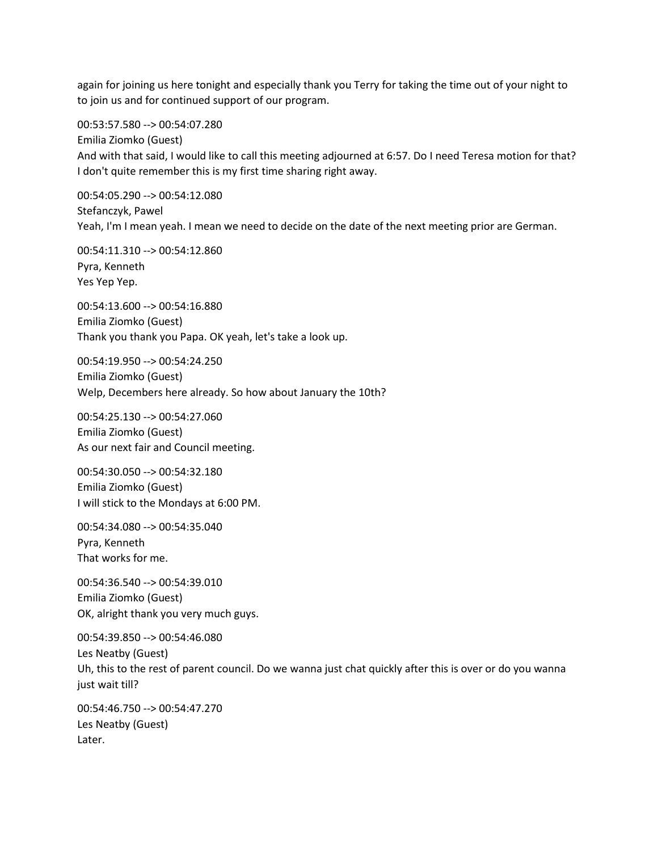again for joining us here tonight and especially thank you Terry for taking the time out of your night to to join us and for continued support of our program.

00:53:57.580 --> 00:54:07.280 Emilia Ziomko (Guest) And with that said, I would like to call this meeting adjourned at 6:57. Do I need Teresa motion for that? I don't quite remember this is my first time sharing right away.

00:54:05.290 --> 00:54:12.080 Stefanczyk, Pawel Yeah, I'm I mean yeah. I mean we need to decide on the date of the next meeting prior are German.

00:54:11.310 --> 00:54:12.860 Pyra, Kenneth Yes Yep Yep.

00:54:13.600 --> 00:54:16.880 Emilia Ziomko (Guest) Thank you thank you Papa. OK yeah, let's take a look up.

00:54:19.950 --> 00:54:24.250 Emilia Ziomko (Guest) Welp, Decembers here already. So how about January the 10th?

00:54:25.130 --> 00:54:27.060 Emilia Ziomko (Guest) As our next fair and Council meeting.

00:54:30.050 --> 00:54:32.180 Emilia Ziomko (Guest) I will stick to the Mondays at 6:00 PM.

00:54:34.080 --> 00:54:35.040 Pyra, Kenneth That works for me.

00:54:36.540 --> 00:54:39.010 Emilia Ziomko (Guest) OK, alright thank you very much guys.

00:54:39.850 --> 00:54:46.080 Les Neatby (Guest) Uh, this to the rest of parent council. Do we wanna just chat quickly after this is over or do you wanna just wait till?

00:54:46.750 --> 00:54:47.270 Les Neatby (Guest) Later.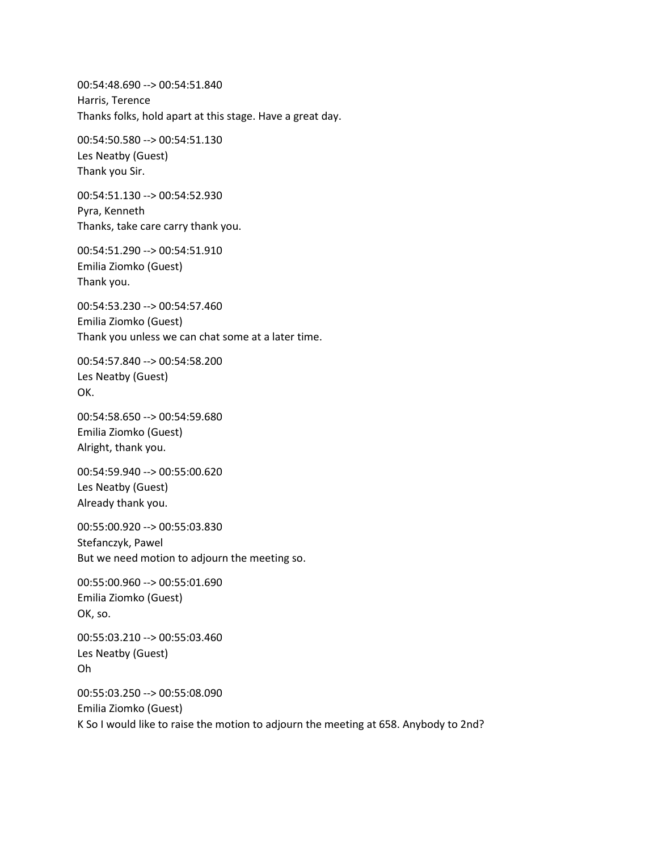00:54:48.690 --> 00:54:51.840 Harris, Terence Thanks folks, hold apart at this stage. Have a great day.

00:54:50.580 --> 00:54:51.130 Les Neatby (Guest) Thank you Sir.

00:54:51.130 --> 00:54:52.930 Pyra, Kenneth Thanks, take care carry thank you.

00:54:51.290 --> 00:54:51.910 Emilia Ziomko (Guest) Thank you.

00:54:53.230 --> 00:54:57.460 Emilia Ziomko (Guest) Thank you unless we can chat some at a later time.

00:54:57.840 --> 00:54:58.200 Les Neatby (Guest) OK.

00:54:58.650 --> 00:54:59.680 Emilia Ziomko (Guest) Alright, thank you.

00:54:59.940 --> 00:55:00.620 Les Neatby (Guest) Already thank you.

00:55:00.920 --> 00:55:03.830 Stefanczyk, Pawel But we need motion to adjourn the meeting so.

00:55:00.960 --> 00:55:01.690 Emilia Ziomko (Guest) OK, so.

00:55:03.210 --> 00:55:03.460 Les Neatby (Guest) Oh

00:55:03.250 --> 00:55:08.090 Emilia Ziomko (Guest) K So I would like to raise the motion to adjourn the meeting at 658. Anybody to 2nd?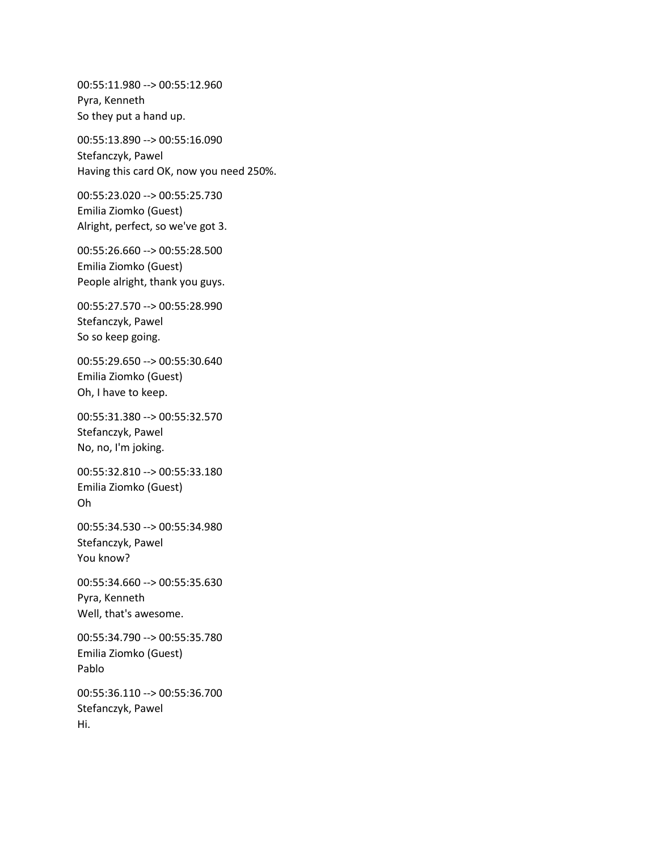00:55:11.980 --> 00:55:12.960 Pyra, Kenneth So they put a hand up.

00:55:13.890 --> 00:55:16.090 Stefanczyk, Pawel Having this card OK, now you need 250%.

00:55:23.020 --> 00:55:25.730 Emilia Ziomko (Guest) Alright, perfect, so we've got 3.

00:55:26.660 --> 00:55:28.500 Emilia Ziomko (Guest) People alright, thank you guys.

00:55:27.570 --> 00:55:28.990 Stefanczyk, Pawel So so keep going.

00:55:29.650 --> 00:55:30.640 Emilia Ziomko (Guest) Oh, I have to keep.

00:55:31.380 --> 00:55:32.570 Stefanczyk, Pawel No, no, I'm joking.

00:55:32.810 --> 00:55:33.180 Emilia Ziomko (Guest) Oh

00:55:34.530 --> 00:55:34.980 Stefanczyk, Pawel You know?

00:55:34.660 --> 00:55:35.630 Pyra, Kenneth Well, that's awesome.

00:55:34.790 --> 00:55:35.780 Emilia Ziomko (Guest) Pablo

00:55:36.110 --> 00:55:36.700 Stefanczyk, Pawel Hi.